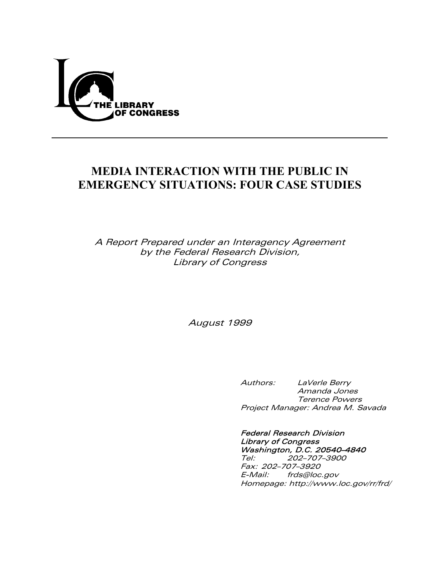

# **MEDIA INTERACTION WITH THE PUBLIC IN EMERGENCY SITUATIONS: FOUR CASE STUDIES**

A Report Prepared under an Interagency Agreement by the Federal Research Division, Library of Congress

August 1999

 Authors: LaVerle Berry Amanda Jones Terence Powers Project Manager: Andrea M. Savada

 Federal Research Division Library of Congress **Washington, D.C. 20540–4840**<br>Tel: 202–707–3900 Tel: 202–707–3900 Fax: 202–707–3920 E-Mail: frds@loc.gov Homepage: http://www.loc.gov/rr/frd/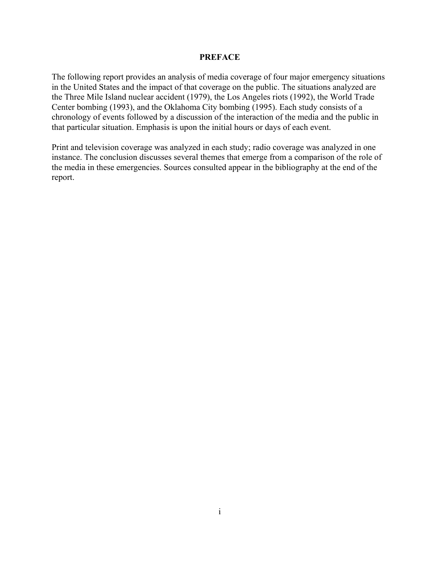#### **PREFACE**

The following report provides an analysis of media coverage of four major emergency situations in the United States and the impact of that coverage on the public. The situations analyzed are the Three Mile Island nuclear accident (1979), the Los Angeles riots (1992), the World Trade Center bombing (1993), and the Oklahoma City bombing (1995). Each study consists of a chronology of events followed by a discussion of the interaction of the media and the public in that particular situation. Emphasis is upon the initial hours or days of each event.

Print and television coverage was analyzed in each study; radio coverage was analyzed in one instance. The conclusion discusses several themes that emerge from a comparison of the role of the media in these emergencies. Sources consulted appear in the bibliography at the end of the report.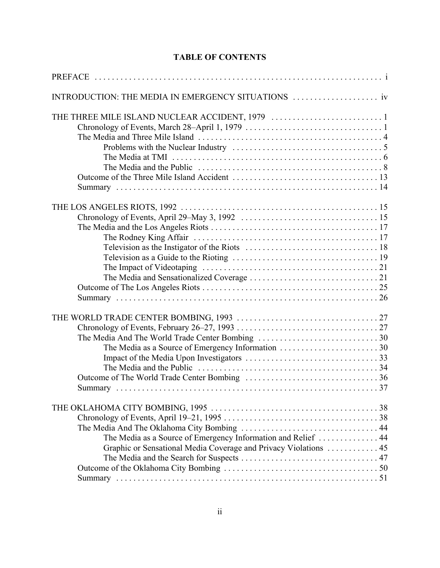## **TABLE OF CONTENTS**

| The Media as a Source of Emergency Information and Relief  44<br>Graphic or Sensational Media Coverage and Privacy Violations  45 |  |
|-----------------------------------------------------------------------------------------------------------------------------------|--|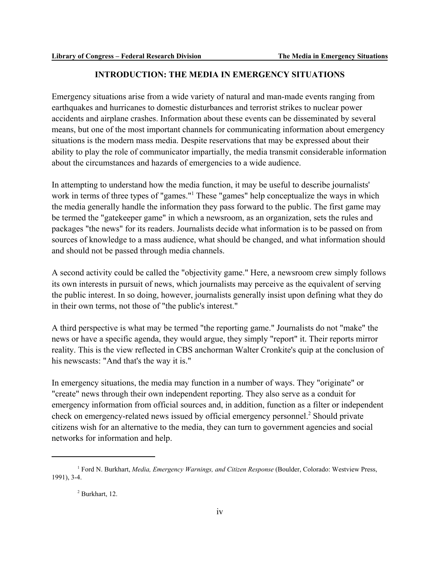### **INTRODUCTION: THE MEDIA IN EMERGENCY SITUATIONS**

Emergency situations arise from a wide variety of natural and man-made events ranging from earthquakes and hurricanes to domestic disturbances and terrorist strikes to nuclear power accidents and airplane crashes. Information about these events can be disseminated by several means, but one of the most important channels for communicating information about emergency situations is the modern mass media. Despite reservations that may be expressed about their ability to play the role of communicator impartially, the media transmit considerable information about the circumstances and hazards of emergencies to a wide audience.

In attempting to understand how the media function, it may be useful to describe journalists' work in terms of three types of "games."<sup>1</sup> These "games" help conceptualize the ways in which the media generally handle the information they pass forward to the public. The first game may be termed the "gatekeeper game" in which a newsroom, as an organization, sets the rules and packages "the news" for its readers. Journalists decide what information is to be passed on from sources of knowledge to a mass audience, what should be changed, and what information should and should not be passed through media channels.

A second activity could be called the "objectivity game." Here, a newsroom crew simply follows its own interests in pursuit of news, which journalists may perceive as the equivalent of serving the public interest. In so doing, however, journalists generally insist upon defining what they do in their own terms, not those of "the public's interest."

A third perspective is what may be termed "the reporting game." Journalists do not "make" the news or have a specific agenda, they would argue, they simply "report" it. Their reports mirror reality. This is the view reflected in CBS anchorman Walter Cronkite's quip at the conclusion of his newscasts: "And that's the way it is."

In emergency situations, the media may function in a number of ways. They "originate" or "create" news through their own independent reporting. They also serve as a conduit for emergency information from official sources and, in addition, function as a filter or independent check on emergency-related news issued by official emergency personnel.<sup>2</sup> Should private citizens wish for an alternative to the media, they can turn to government agencies and social networks for information and help.

<sup>1</sup> Ford N. Burkhart, *Media, Emergency Warnings, and Citizen Response* (Boulder, Colorado: Westview Press, 1991), 3-4.

 $<sup>2</sup>$  Burkhart, 12.</sup>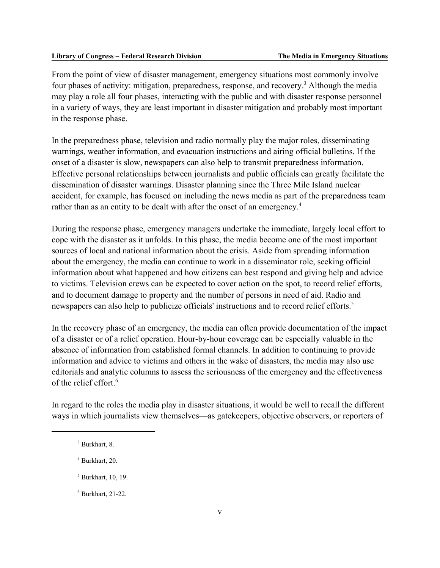From the point of view of disaster management, emergency situations most commonly involve four phases of activity: mitigation, preparedness, response, and recovery.<sup>3</sup> Although the media may play a role all four phases, interacting with the public and with disaster response personnel in a variety of ways, they are least important in disaster mitigation and probably most important in the response phase.

In the preparedness phase, television and radio normally play the major roles, disseminating warnings, weather information, and evacuation instructions and airing official bulletins. If the onset of a disaster is slow, newspapers can also help to transmit preparedness information. Effective personal relationships between journalists and public officials can greatly facilitate the dissemination of disaster warnings. Disaster planning since the Three Mile Island nuclear accident, for example, has focused on including the news media as part of the preparedness team rather than as an entity to be dealt with after the onset of an emergency.<sup>4</sup>

During the response phase, emergency managers undertake the immediate, largely local effort to cope with the disaster as it unfolds. In this phase, the media become one of the most important sources of local and national information about the crisis. Aside from spreading information about the emergency, the media can continue to work in a disseminator role, seeking official information about what happened and how citizens can best respond and giving help and advice to victims. Television crews can be expected to cover action on the spot, to record relief efforts, and to document damage to property and the number of persons in need of aid. Radio and newspapers can also help to publicize officials' instructions and to record relief efforts.<sup>5</sup>

In the recovery phase of an emergency, the media can often provide documentation of the impact of a disaster or of a relief operation. Hour-by-hour coverage can be especially valuable in the absence of information from established formal channels. In addition to continuing to provide information and advice to victims and others in the wake of disasters, the media may also use editorials and analytic columns to assess the seriousness of the emergency and the effectiveness of the relief effort.<sup>6</sup>

In regard to the roles the media play in disaster situations, it would be well to recall the different ways in which journalists view themselves—as gatekeepers, objective observers, or reporters of

5 Burkhart, 10, 19.

<sup>3</sup> Burkhart, 8.

<sup>4</sup> Burkhart, 20.

<sup>6</sup> Burkhart, 21-22.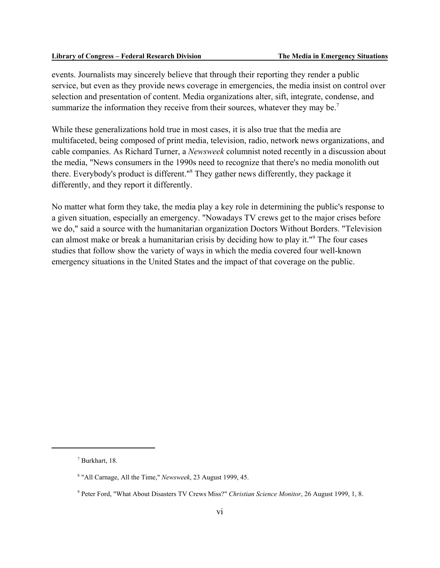events. Journalists may sincerely believe that through their reporting they render a public service, but even as they provide news coverage in emergencies, the media insist on control over selection and presentation of content. Media organizations alter, sift, integrate, condense, and summarize the information they receive from their sources, whatever they may be.<sup>7</sup>

While these generalizations hold true in most cases, it is also true that the media are multifaceted, being composed of print media, television, radio, network news organizations, and cable companies. As Richard Turner, a *Newsweek* columnist noted recently in a discussion about the media, "News consumers in the 1990s need to recognize that there's no media monolith out there. Everybody's product is different."<sup>8</sup> They gather news differently, they package it differently, and they report it differently.

No matter what form they take, the media play a key role in determining the public's response to a given situation, especially an emergency. "Nowadays TV crews get to the major crises before we do," said a source with the humanitarian organization Doctors Without Borders. "Television can almost make or break a humanitarian crisis by deciding how to play it."<sup>9</sup> The four cases studies that follow show the variety of ways in which the media covered four well-known emergency situations in the United States and the impact of that coverage on the public.

<sup>7</sup> Burkhart, 18.

<sup>8</sup> "All Carnage, All the Time," *Newsweek*, 23 August 1999, 45.

<sup>9</sup> Peter Ford, "What About Disasters TV Crews Miss?" *Christian Science Monitor*, 26 August 1999, 1, 8.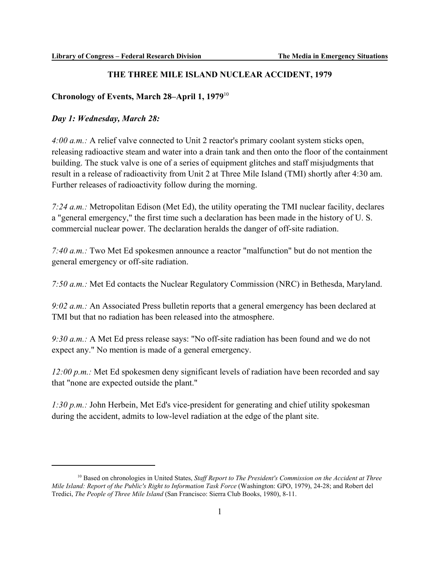### **THE THREE MILE ISLAND NUCLEAR ACCIDENT, 1979**

### **Chronology of Events, March 28–April 1, 1979**<sup>10</sup>

#### *Day 1: Wednesday, March 28:*

*4:00 a.m.:* A relief valve connected to Unit 2 reactor's primary coolant system sticks open, releasing radioactive steam and water into a drain tank and then onto the floor of the containment building. The stuck valve is one of a series of equipment glitches and staff misjudgments that result in a release of radioactivity from Unit 2 at Three Mile Island (TMI) shortly after 4:30 am. Further releases of radioactivity follow during the morning.

*7:24 a.m.:* Metropolitan Edison (Met Ed), the utility operating the TMI nuclear facility, declares a "general emergency," the first time such a declaration has been made in the history of U. S. commercial nuclear power. The declaration heralds the danger of off-site radiation.

*7:40 a.m.:* Two Met Ed spokesmen announce a reactor "malfunction" but do not mention the general emergency or off-site radiation.

*7:50 a.m.:* Met Ed contacts the Nuclear Regulatory Commission (NRC) in Bethesda, Maryland.

*9:02 a.m.:* An Associated Press bulletin reports that a general emergency has been declared at TMI but that no radiation has been released into the atmosphere.

*9:30 a.m.:* A Met Ed press release says: "No off-site radiation has been found and we do not expect any." No mention is made of a general emergency.

*12:00 p.m.:* Met Ed spokesmen deny significant levels of radiation have been recorded and say that "none are expected outside the plant."

*1:30 p.m.:* John Herbein, Met Ed's vice-president for generating and chief utility spokesman during the accident, admits to low-level radiation at the edge of the plant site.

<sup>&</sup>lt;sup>10</sup> Based on chronologies in United States, *Staff Report to The President's Commission on the Accident at Three Mile Island: Report of the Public's Right to Information Task Force* (Washington: GPO, 1979), 24-28; and Robert del Tredici, *The People of Three Mile Island* (San Francisco: Sierra Club Books, 1980), 8-11.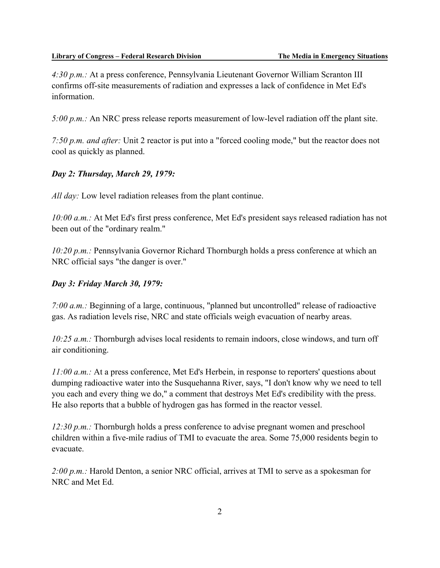*4:30 p.m.:* At a press conference, Pennsylvania Lieutenant Governor William Scranton III confirms off-site measurements of radiation and expresses a lack of confidence in Met Ed's information.

*5:00 p.m.:* An NRC press release reports measurement of low-level radiation off the plant site.

*7:50 p.m. and after:* Unit 2 reactor is put into a "forced cooling mode," but the reactor does not cool as quickly as planned.

### *Day 2: Thursday, March 29, 1979:*

*All day:* Low level radiation releases from the plant continue.

*10:00 a.m.:* At Met Ed's first press conference, Met Ed's president says released radiation has not been out of the "ordinary realm."

*10:20 p.m.:* Pennsylvania Governor Richard Thornburgh holds a press conference at which an NRC official says "the danger is over."

### *Day 3: Friday March 30, 1979:*

*7:00 a.m.:* Beginning of a large, continuous, "planned but uncontrolled" release of radioactive gas. As radiation levels rise, NRC and state officials weigh evacuation of nearby areas.

*10:25 a.m.:* Thornburgh advises local residents to remain indoors, close windows, and turn off air conditioning.

*11:00 a.m.:* At a press conference, Met Ed's Herbein, in response to reporters' questions about dumping radioactive water into the Susquehanna River, says, "I don't know why we need to tell you each and every thing we do," a comment that destroys Met Ed's credibility with the press. He also reports that a bubble of hydrogen gas has formed in the reactor vessel.

*12:30 p.m.:* Thornburgh holds a press conference to advise pregnant women and preschool children within a five-mile radius of TMI to evacuate the area. Some 75,000 residents begin to evacuate.

*2:00 p.m.:* Harold Denton, a senior NRC official, arrives at TMI to serve as a spokesman for NRC and Met Ed.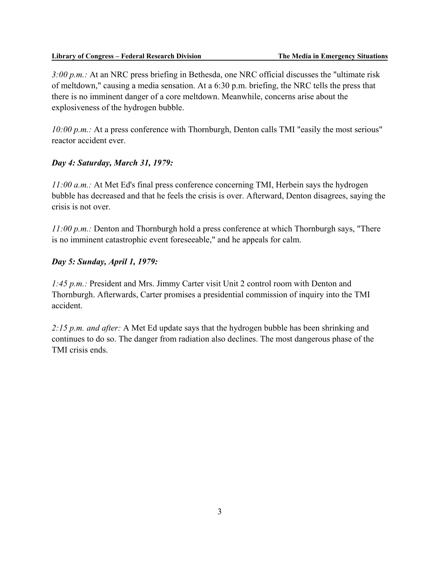#### **Library of Congress – Federal Research Division The Media in Emergency Situations**

*3:00 p.m.:* At an NRC press briefing in Bethesda, one NRC official discusses the "ultimate risk of meltdown," causing a media sensation. At a 6:30 p.m. briefing, the NRC tells the press that there is no imminent danger of a core meltdown. Meanwhile, concerns arise about the explosiveness of the hydrogen bubble.

*10:00 p.m.:* At a press conference with Thornburgh, Denton calls TMI "easily the most serious" reactor accident ever.

### *Day 4: Saturday, March 31, 1979:*

*11:00 a.m.:* At Met Ed's final press conference concerning TMI, Herbein says the hydrogen bubble has decreased and that he feels the crisis is over. Afterward, Denton disagrees, saying the crisis is not over.

*11:00 p.m.:* Denton and Thornburgh hold a press conference at which Thornburgh says, "There is no imminent catastrophic event foreseeable," and he appeals for calm.

### *Day 5: Sunday, April 1, 1979:*

*1:45 p.m.:* President and Mrs. Jimmy Carter visit Unit 2 control room with Denton and Thornburgh. Afterwards, Carter promises a presidential commission of inquiry into the TMI accident.

*2:15 p.m. and after:* A Met Ed update says that the hydrogen bubble has been shrinking and continues to do so. The danger from radiation also declines. The most dangerous phase of the TMI crisis ends.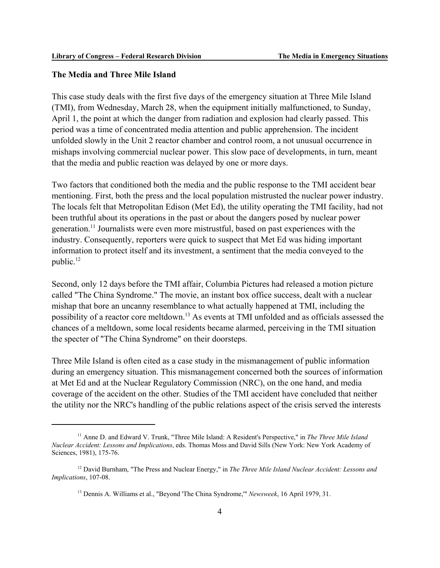### **The Media and Three Mile Island**

This case study deals with the first five days of the emergency situation at Three Mile Island (TMI), from Wednesday, March 28, when the equipment initially malfunctioned, to Sunday, April 1, the point at which the danger from radiation and explosion had clearly passed. This period was a time of concentrated media attention and public apprehension. The incident unfolded slowly in the Unit 2 reactor chamber and control room, a not unusual occurrence in mishaps involving commercial nuclear power. This slow pace of developments, in turn, meant that the media and public reaction was delayed by one or more days.

Two factors that conditioned both the media and the public response to the TMI accident bear mentioning. First, both the press and the local population mistrusted the nuclear power industry. The locals felt that Metropolitan Edison (Met Ed), the utility operating the TMI facility, had not been truthful about its operations in the past or about the dangers posed by nuclear power generation.11 Journalists were even more mistrustful, based on past experiences with the industry. Consequently, reporters were quick to suspect that Met Ed was hiding important information to protect itself and its investment, a sentiment that the media conveyed to the public.<sup>12</sup>

Second, only 12 days before the TMI affair, Columbia Pictures had released a motion picture called "The China Syndrome." The movie, an instant box office success, dealt with a nuclear mishap that bore an uncanny resemblance to what actually happened at TMI, including the possibility of a reactor core meltdown.13 As events at TMI unfolded and as officials assessed the chances of a meltdown, some local residents became alarmed, perceiving in the TMI situation the specter of "The China Syndrome" on their doorsteps.

Three Mile Island is often cited as a case study in the mismanagement of public information during an emergency situation. This mismanagement concerned both the sources of information at Met Ed and at the Nuclear Regulatory Commission (NRC), on the one hand, and media coverage of the accident on the other. Studies of the TMI accident have concluded that neither the utility nor the NRC's handling of the public relations aspect of the crisis served the interests

<sup>11</sup> Anne D. and Edward V. Trunk, "Three Mile Island: A Resident's Perspective," in *The Three Mile Island Nuclear Accident: Lessons and Implications*, eds. Thomas Moss and David Sills (New York: New York Academy of Sciences, 1981), 175-76.

<sup>12</sup> David Burnham, "The Press and Nuclear Energy," in *The Three Mile Island Nuclear Accident: Lessons and Implications*, 107-08.

<sup>13</sup> Dennis A. Williams et al., "Beyond 'The China Syndrome,'" *Newsweek*, 16 April 1979, 31.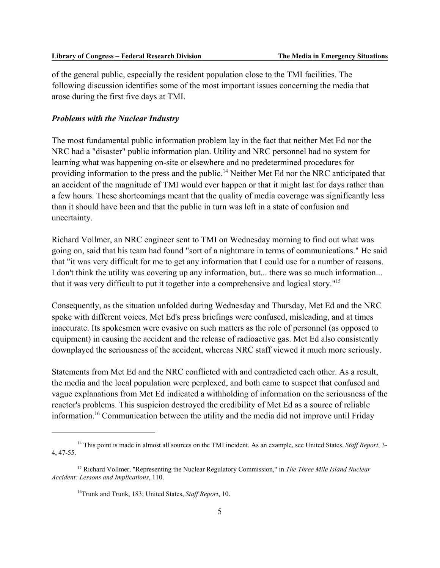of the general public, especially the resident population close to the TMI facilities. The following discussion identifies some of the most important issues concerning the media that arose during the first five days at TMI.

#### *Problems with the Nuclear Industry*

The most fundamental public information problem lay in the fact that neither Met Ed nor the NRC had a "disaster" public information plan. Utility and NRC personnel had no system for learning what was happening on-site or elsewhere and no predetermined procedures for providing information to the press and the public.<sup>14</sup> Neither Met Ed nor the NRC anticipated that an accident of the magnitude of TMI would ever happen or that it might last for days rather than a few hours. These shortcomings meant that the quality of media coverage was significantly less than it should have been and that the public in turn was left in a state of confusion and uncertainty.

Richard Vollmer, an NRC engineer sent to TMI on Wednesday morning to find out what was going on, said that his team had found "sort of a nightmare in terms of communications." He said that "it was very difficult for me to get any information that I could use for a number of reasons. I don't think the utility was covering up any information, but... there was so much information... that it was very difficult to put it together into a comprehensive and logical story."15

Consequently, as the situation unfolded during Wednesday and Thursday, Met Ed and the NRC spoke with different voices. Met Ed's press briefings were confused, misleading, and at times inaccurate. Its spokesmen were evasive on such matters as the role of personnel (as opposed to equipment) in causing the accident and the release of radioactive gas. Met Ed also consistently downplayed the seriousness of the accident, whereas NRC staff viewed it much more seriously.

Statements from Met Ed and the NRC conflicted with and contradicted each other. As a result, the media and the local population were perplexed, and both came to suspect that confused and vague explanations from Met Ed indicated a withholding of information on the seriousness of the reactor's problems. This suspicion destroyed the credibility of Met Ed as a source of reliable information.16 Communication between the utility and the media did not improve until Friday

<sup>14</sup> This point is made in almost all sources on the TMI incident. As an example, see United States, *Staff Report*, 3- 4, 47-55.

<sup>15</sup> Richard Vollmer, "Representing the Nuclear Regulatory Commission," in *The Three Mile Island Nuclear Accident: Lessons and Implications*, 110.

<sup>16</sup>Trunk and Trunk, 183; United States, *Staff Report*, 10.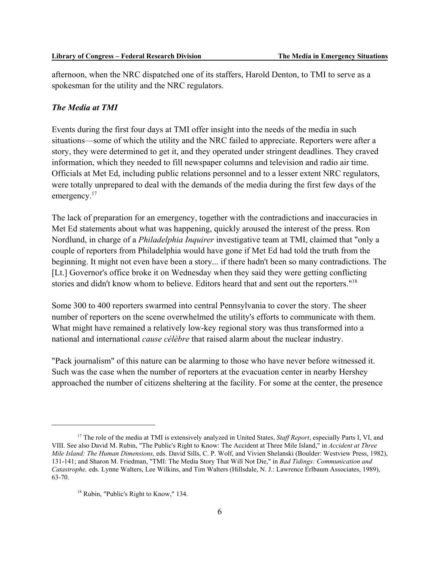afternoon, when the NRC dispatched one of its staffers, Harold Denton, to TMI to serve as a spokesman for the utility and the NRC regulators.

### *The Media at TMI*

Events during the first four days at TMI offer insight into the needs of the media in such situations—some of which the utility and the NRC failed to appreciate. Reporters were after a story, they were determined to get it, and they operated under stringent deadlines. They craved information, which they needed to fill newspaper columns and television and radio air time. Officials at Met Ed, including public relations personnel and to a lesser extent NRC regulators, were totally unprepared to deal with the demands of the media during the first few days of the emergency.<sup>17</sup>

The lack of preparation for an emergency, together with the contradictions and inaccuracies in Met Ed statements about what was happening, quickly aroused the interest of the press. Ron Nordlund, in charge of a *Philadelphia Inquirer* investigative team at TMI, claimed that "only a couple of reporters from Philadelphia would have gone if Met Ed had told the truth from the beginning. It might not even have been a story... if there hadn't been so many contradictions. The [Lt.] Governor's office broke it on Wednesday when they said they were getting conflicting stories and didn't know whom to believe. Editors heard that and sent out the reporters."18

Some 300 to 400 reporters swarmed into central Pennsylvania to cover the story. The sheer number of reporters on the scene overwhelmed the utility's efforts to communicate with them. What might have remained a relatively low-key regional story was thus transformed into a national and international *cause célèbre* that raised alarm about the nuclear industry.

"Pack journalism" of this nature can be alarming to those who have never before witnessed it. Such was the case when the number of reporters at the evacuation center in nearby Hershey approached the number of citizens sheltering at the facility. For some at the center, the presence

<sup>17</sup> The role of the media at TMI is extensively analyzed in United States, *Staff Report*, especially Parts I, VI, and VIII. See also David M. Rubin, "The Public's Right to Know: The Accident at Three Mile Island," in *Accident at Three Mile Island: The Human Dimensions*, eds. David Sills, C. P. Wolf, and Vivien Shelanski (Boulder: Westview Press, 1982), 131-141; and Sharon M. Friedman, "TMI: The Media Story That Will Not Die," in *Bad Tidings: Communication and Catastrophe,* eds. Lynne Walters, Lee Wilkins, and Tim Walters (Hillsdale, N. J.: Lawrence Erlbaum Associates, 1989), 63-70.

<sup>&</sup>lt;sup>18</sup> Rubin, "Public's Right to Know," 134.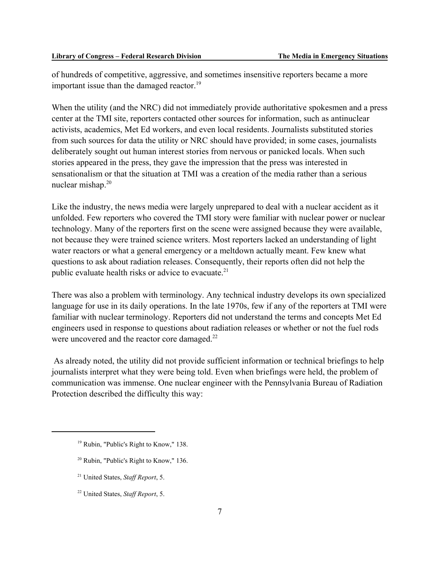of hundreds of competitive, aggressive, and sometimes insensitive reporters became a more important issue than the damaged reactor. $19$ 

When the utility (and the NRC) did not immediately provide authoritative spokesmen and a press center at the TMI site, reporters contacted other sources for information, such as antinuclear activists, academics, Met Ed workers, and even local residents. Journalists substituted stories from such sources for data the utility or NRC should have provided; in some cases, journalists deliberately sought out human interest stories from nervous or panicked locals. When such stories appeared in the press, they gave the impression that the press was interested in sensationalism or that the situation at TMI was a creation of the media rather than a serious nuclear mishap. $20$ 

Like the industry, the news media were largely unprepared to deal with a nuclear accident as it unfolded. Few reporters who covered the TMI story were familiar with nuclear power or nuclear technology. Many of the reporters first on the scene were assigned because they were available, not because they were trained science writers. Most reporters lacked an understanding of light water reactors or what a general emergency or a meltdown actually meant. Few knew what questions to ask about radiation releases. Consequently, their reports often did not help the public evaluate health risks or advice to evacuate.<sup>21</sup>

There was also a problem with terminology. Any technical industry develops its own specialized language for use in its daily operations. In the late 1970s, few if any of the reporters at TMI were familiar with nuclear terminology. Reporters did not understand the terms and concepts Met Ed engineers used in response to questions about radiation releases or whether or not the fuel rods were uncovered and the reactor core damaged.<sup>22</sup>

 As already noted, the utility did not provide sufficient information or technical briefings to help journalists interpret what they were being told. Even when briefings were held, the problem of communication was immense. One nuclear engineer with the Pennsylvania Bureau of Radiation Protection described the difficulty this way:

- 20 Rubin, "Public's Right to Know," 136.
- 21 United States, *Staff Report*, 5.
- 22 United States, *Staff Report*, 5.

<sup>&</sup>lt;sup>19</sup> Rubin, "Public's Right to Know," 138.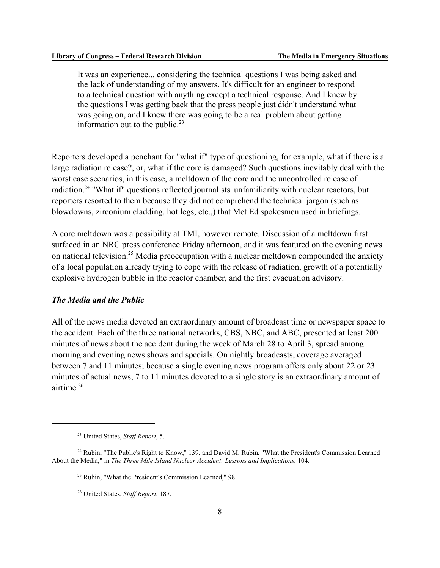It was an experience... considering the technical questions I was being asked and the lack of understanding of my answers. It's difficult for an engineer to respond to a technical question with anything except a technical response. And I knew by the questions I was getting back that the press people just didn't understand what was going on, and I knew there was going to be a real problem about getting information out to the public. $^{23}$ 

Reporters developed a penchant for "what if" type of questioning, for example, what if there is a large radiation release?, or, what if the core is damaged? Such questions inevitably deal with the worst case scenarios, in this case, a meltdown of the core and the uncontrolled release of radiation.<sup>24</sup> "What if" questions reflected journalists' unfamiliarity with nuclear reactors, but reporters resorted to them because they did not comprehend the technical jargon (such as blowdowns, zirconium cladding, hot legs, etc.,) that Met Ed spokesmen used in briefings.

A core meltdown was a possibility at TMI, however remote. Discussion of a meltdown first surfaced in an NRC press conference Friday afternoon, and it was featured on the evening news on national television.<sup>25</sup> Media preoccupation with a nuclear meltdown compounded the anxiety of a local population already trying to cope with the release of radiation, growth of a potentially explosive hydrogen bubble in the reactor chamber, and the first evacuation advisory.

### *The Media and the Public*

All of the news media devoted an extraordinary amount of broadcast time or newspaper space to the accident. Each of the three national networks, CBS, NBC, and ABC, presented at least 200 minutes of news about the accident during the week of March 28 to April 3, spread among morning and evening news shows and specials. On nightly broadcasts, coverage averaged between 7 and 11 minutes; because a single evening news program offers only about 22 or 23 minutes of actual news, 7 to 11 minutes devoted to a single story is an extraordinary amount of airtime.26

<sup>23</sup> United States, *Staff Report*, 5.

<sup>&</sup>lt;sup>24</sup> Rubin, "The Public's Right to Know," 139, and David M. Rubin, "What the President's Commission Learned About the Media," in *The Three Mile Island Nuclear Accident: Lessons and Implications,* 104.

<sup>&</sup>lt;sup>25</sup> Rubin, "What the President's Commission Learned," 98.

<sup>26</sup> United States, *Staff Report*, 187.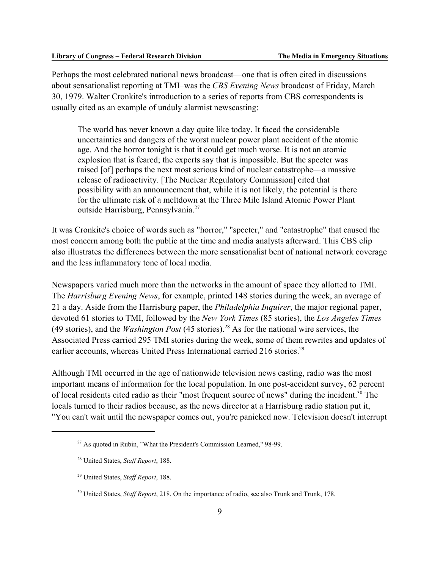Perhaps the most celebrated national news broadcast—one that is often cited in discussions about sensationalist reporting at TMI–was the *CBS Evening News* broadcast of Friday, March 30, 1979. Walter Cronkite's introduction to a series of reports from CBS correspondents is usually cited as an example of unduly alarmist newscasting:

The world has never known a day quite like today. It faced the considerable uncertainties and dangers of the worst nuclear power plant accident of the atomic age. And the horror tonight is that it could get much worse. It is not an atomic explosion that is feared; the experts say that is impossible. But the specter was raised [of] perhaps the next most serious kind of nuclear catastrophe—a massive release of radioactivity. [The Nuclear Regulatory Commission] cited that possibility with an announcement that, while it is not likely, the potential is there for the ultimate risk of a meltdown at the Three Mile Island Atomic Power Plant outside Harrisburg, Pennsylvania.<sup>27</sup>

It was Cronkite's choice of words such as "horror," "specter," and "catastrophe" that caused the most concern among both the public at the time and media analysts afterward. This CBS clip also illustrates the differences between the more sensationalist bent of national network coverage and the less inflammatory tone of local media.

Newspapers varied much more than the networks in the amount of space they allotted to TMI. The *Harrisburg Evening News*, for example, printed 148 stories during the week, an average of 21 a day. Aside from the Harrisburg paper, the *Philadelphia Inquirer*, the major regional paper, devoted 61 stories to TMI, followed by the *New York Times* (85 stories), the *Los Angeles Times* (49 stories), and the *Washington Post* (45 stories).28 As for the national wire services, the Associated Press carried 295 TMI stories during the week, some of them rewrites and updates of earlier accounts, whereas United Press International carried 216 stories.<sup>29</sup>

Although TMI occurred in the age of nationwide television news casting, radio was the most important means of information for the local population. In one post-accident survey, 62 percent of local residents cited radio as their "most frequent source of news" during the incident.<sup>30</sup> The locals turned to their radios because, as the news director at a Harrisburg radio station put it, "You can't wait until the newspaper comes out, you're panicked now. Television doesn't interrupt

<sup>&</sup>lt;sup>27</sup> As quoted in Rubin, "What the President's Commission Learned," 98-99.

<sup>28</sup> United States, *Staff Report*, 188.

<sup>29</sup> United States, *Staff Report*, 188.

<sup>30</sup> United States, *Staff Report*, 218. On the importance of radio, see also Trunk and Trunk, 178.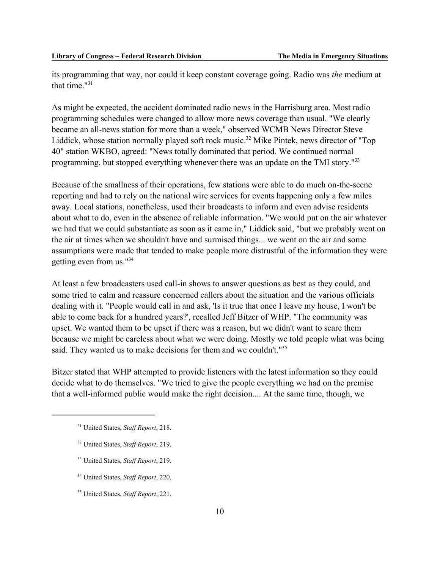its programming that way, nor could it keep constant coverage going. Radio was *the* medium at that time. $131$ 

As might be expected, the accident dominated radio news in the Harrisburg area. Most radio programming schedules were changed to allow more news coverage than usual. "We clearly became an all-news station for more than a week," observed WCMB News Director Steve Liddick, whose station normally played soft rock music.<sup>32</sup> Mike Pintek, news director of "Top" 40" station WKBO, agreed: "News totally dominated that period. We continued normal programming, but stopped everything whenever there was an update on the TMI story."<sup>33</sup>

Because of the smallness of their operations, few stations were able to do much on-the-scene reporting and had to rely on the national wire services for events happening only a few miles away. Local stations, nonetheless, used their broadcasts to inform and even advise residents about what to do, even in the absence of reliable information. "We would put on the air whatever we had that we could substantiate as soon as it came in," Liddick said, "but we probably went on the air at times when we shouldn't have and surmised things... we went on the air and some assumptions were made that tended to make people more distrustful of the information they were getting even from us."34

At least a few broadcasters used call-in shows to answer questions as best as they could, and some tried to calm and reassure concerned callers about the situation and the various officials dealing with it. "People would call in and ask, 'Is it true that once I leave my house, I won't be able to come back for a hundred years?', recalled Jeff Bitzer of WHP. "The community was upset. We wanted them to be upset if there was a reason, but we didn't want to scare them because we might be careless about what we were doing. Mostly we told people what was being said. They wanted us to make decisions for them and we couldn't."<sup>35</sup>

Bitzer stated that WHP attempted to provide listeners with the latest information so they could decide what to do themselves. "We tried to give the people everything we had on the premise that a well-informed public would make the right decision.... At the same time, though, we

- 32 United States, *Staff Report*, 219.
- 33 United States, *Staff Report*, 219.
- 34 United States, *Staff Report*, 220.

35 United States, *Staff Report*, 221.

<sup>31</sup> United States, *Staff Report*, 218.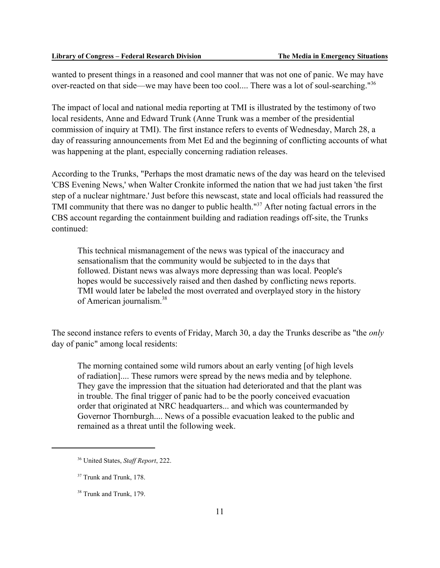wanted to present things in a reasoned and cool manner that was not one of panic. We may have over-reacted on that side—we may have been too cool.... There was a lot of soul-searching."36

The impact of local and national media reporting at TMI is illustrated by the testimony of two local residents, Anne and Edward Trunk (Anne Trunk was a member of the presidential commission of inquiry at TMI). The first instance refers to events of Wednesday, March 28, a day of reassuring announcements from Met Ed and the beginning of conflicting accounts of what was happening at the plant, especially concerning radiation releases.

According to the Trunks, "Perhaps the most dramatic news of the day was heard on the televised 'CBS Evening News,' when Walter Cronkite informed the nation that we had just taken 'the first step of a nuclear nightmare.' Just before this newscast, state and local officials had reassured the TMI community that there was no danger to public health."<sup>37</sup> After noting factual errors in the CBS account regarding the containment building and radiation readings off-site, the Trunks continued:

This technical mismanagement of the news was typical of the inaccuracy and sensationalism that the community would be subjected to in the days that followed. Distant news was always more depressing than was local. People's hopes would be successively raised and then dashed by conflicting news reports. TMI would later be labeled the most overrated and overplayed story in the history of American journalism.38

The second instance refers to events of Friday, March 30, a day the Trunks describe as "the *only* day of panic" among local residents:

The morning contained some wild rumors about an early venting [of high levels of radiation].... These rumors were spread by the news media and by telephone. They gave the impression that the situation had deteriorated and that the plant was in trouble. The final trigger of panic had to be the poorly conceived evacuation order that originated at NRC headquarters... and which was countermanded by Governor Thornburgh.... News of a possible evacuation leaked to the public and remained as a threat until the following week.

<sup>36</sup> United States, *Staff Report*, 222.

<sup>&</sup>lt;sup>37</sup> Trunk and Trunk, 178.

<sup>&</sup>lt;sup>38</sup> Trunk and Trunk, 179.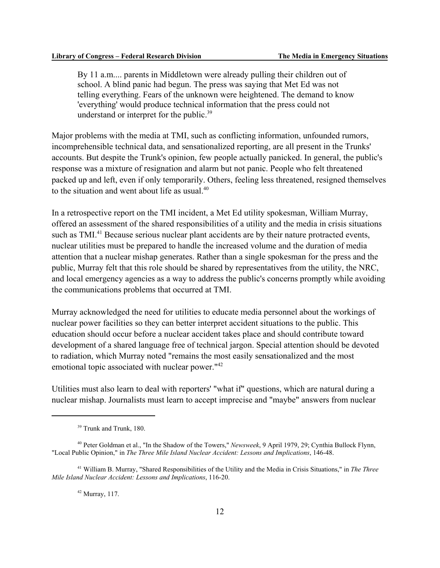By 11 a.m.... parents in Middletown were already pulling their children out of school. A blind panic had begun. The press was saying that Met Ed was not telling everything. Fears of the unknown were heightened. The demand to know 'everything' would produce technical information that the press could not understand or interpret for the public.<sup>39</sup>

Major problems with the media at TMI, such as conflicting information, unfounded rumors, incomprehensible technical data, and sensationalized reporting, are all present in the Trunks' accounts. But despite the Trunk's opinion, few people actually panicked. In general, the public's response was a mixture of resignation and alarm but not panic. People who felt threatened packed up and left, even if only temporarily. Others, feeling less threatened, resigned themselves to the situation and went about life as usual  $40$ .

In a retrospective report on the TMI incident, a Met Ed utility spokesman, William Murray, offered an assessment of the shared responsibilities of a utility and the media in crisis situations such as TMI.<sup>41</sup> Because serious nuclear plant accidents are by their nature protracted events, nuclear utilities must be prepared to handle the increased volume and the duration of media attention that a nuclear mishap generates. Rather than a single spokesman for the press and the public, Murray felt that this role should be shared by representatives from the utility, the NRC, and local emergency agencies as a way to address the public's concerns promptly while avoiding the communications problems that occurred at TMI.

Murray acknowledged the need for utilities to educate media personnel about the workings of nuclear power facilities so they can better interpret accident situations to the public. This education should occur before a nuclear accident takes place and should contribute toward development of a shared language free of technical jargon. Special attention should be devoted to radiation, which Murray noted "remains the most easily sensationalized and the most emotional topic associated with nuclear power."<sup>42</sup>

Utilities must also learn to deal with reporters' "what if" questions, which are natural during a nuclear mishap. Journalists must learn to accept imprecise and "maybe" answers from nuclear

 $42$  Murray, 117.

<sup>&</sup>lt;sup>39</sup> Trunk and Trunk, 180.

<sup>40</sup> Peter Goldman et al., "In the Shadow of the Towers," *Newsweek*, 9 April 1979, 29; Cynthia Bullock Flynn, "Local Public Opinion," in *The Three Mile Island Nuclear Accident: Lessons and Implications*, 146-48.

<sup>41</sup> William B. Murray, "Shared Responsibilities of the Utility and the Media in Crisis Situations," in *The Three Mile Island Nuclear Accident: Lessons and Implications*, 116-20.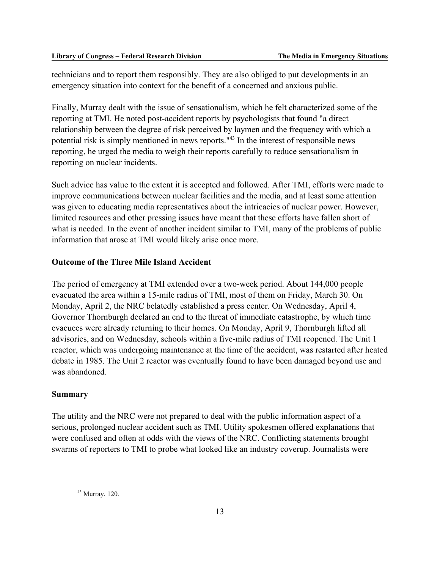technicians and to report them responsibly. They are also obliged to put developments in an emergency situation into context for the benefit of a concerned and anxious public.

Finally, Murray dealt with the issue of sensationalism, which he felt characterized some of the reporting at TMI. He noted post-accident reports by psychologists that found "a direct relationship between the degree of risk perceived by laymen and the frequency with which a potential risk is simply mentioned in news reports."43 In the interest of responsible news reporting, he urged the media to weigh their reports carefully to reduce sensationalism in reporting on nuclear incidents.

Such advice has value to the extent it is accepted and followed. After TMI, efforts were made to improve communications between nuclear facilities and the media, and at least some attention was given to educating media representatives about the intricacies of nuclear power. However, limited resources and other pressing issues have meant that these efforts have fallen short of what is needed. In the event of another incident similar to TMI, many of the problems of public information that arose at TMI would likely arise once more.

### **Outcome of the Three Mile Island Accident**

The period of emergency at TMI extended over a two-week period. About 144,000 people evacuated the area within a 15-mile radius of TMI, most of them on Friday, March 30. On Monday, April 2, the NRC belatedly established a press center. On Wednesday, April 4, Governor Thornburgh declared an end to the threat of immediate catastrophe, by which time evacuees were already returning to their homes. On Monday, April 9, Thornburgh lifted all advisories, and on Wednesday, schools within a five-mile radius of TMI reopened. The Unit 1 reactor, which was undergoing maintenance at the time of the accident, was restarted after heated debate in 1985. The Unit 2 reactor was eventually found to have been damaged beyond use and was abandoned.

### **Summary**

The utility and the NRC were not prepared to deal with the public information aspect of a serious, prolonged nuclear accident such as TMI. Utility spokesmen offered explanations that were confused and often at odds with the views of the NRC. Conflicting statements brought swarms of reporters to TMI to probe what looked like an industry coverup. Journalists were

 $43$  Murray, 120.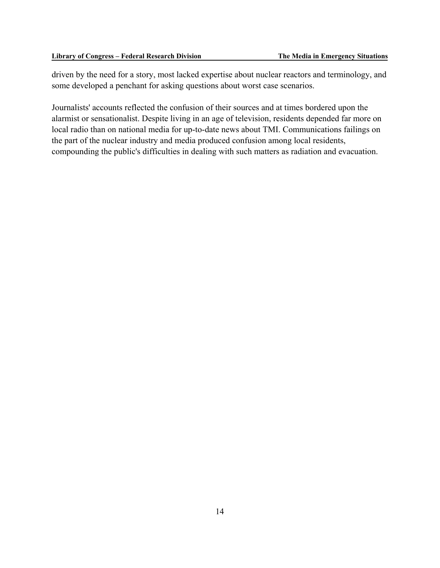driven by the need for a story, most lacked expertise about nuclear reactors and terminology, and some developed a penchant for asking questions about worst case scenarios.

Journalists' accounts reflected the confusion of their sources and at times bordered upon the alarmist or sensationalist. Despite living in an age of television, residents depended far more on local radio than on national media for up-to-date news about TMI. Communications failings on the part of the nuclear industry and media produced confusion among local residents, compounding the public's difficulties in dealing with such matters as radiation and evacuation.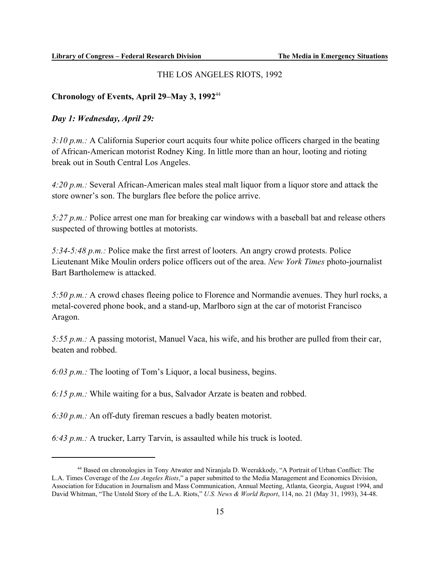### THE LOS ANGELES RIOTS, 1992

### **Chronology of Events, April 29–May 3, 1992**<sup>44</sup>

### *Day 1: Wednesday, April 29:*

*3:10 p.m.:* A California Superior court acquits four white police officers charged in the beating of African-American motorist Rodney King. In little more than an hour, looting and rioting break out in South Central Los Angeles.

*4:20 p.m.:* Several African-American males steal malt liquor from a liquor store and attack the store owner's son. The burglars flee before the police arrive.

*5:27 p.m.:* Police arrest one man for breaking car windows with a baseball bat and release others suspected of throwing bottles at motorists.

*5:34-5:48 p.m.:* Police make the first arrest of looters. An angry crowd protests. Police Lieutenant Mike Moulin orders police officers out of the area. *New York Times* photo-journalist Bart Bartholemew is attacked.

*5:50 p.m.:* A crowd chases fleeing police to Florence and Normandie avenues. They hurl rocks, a metal-covered phone book, and a stand-up, Marlboro sign at the car of motorist Francisco Aragon.

*5:55 p.m.:* A passing motorist, Manuel Vaca, his wife, and his brother are pulled from their car, beaten and robbed.

*6:03 p.m.:* The looting of Tom's Liquor, a local business, begins.

*6:15 p.m.:* While waiting for a bus, Salvador Arzate is beaten and robbed.

*6:30 p.m.:* An off-duty fireman rescues a badly beaten motorist.

*6:43 p.m.:* A trucker, Larry Tarvin, is assaulted while his truck is looted.

<sup>44</sup> Based on chronologies in Tony Atwater and Niranjala D. Weerakkody, "A Portrait of Urban Conflict: The L.A. Times Coverage of the *Los Angeles Riots*," a paper submitted to the Media Management and Economics Division, Association for Education in Journalism and Mass Communication, Annual Meeting, Atlanta, Georgia, August 1994, and David Whitman, "The Untold Story of the L.A. Riots," *U.S. News & World Report*, 114, no. 21 (May 31, 1993), 34-48.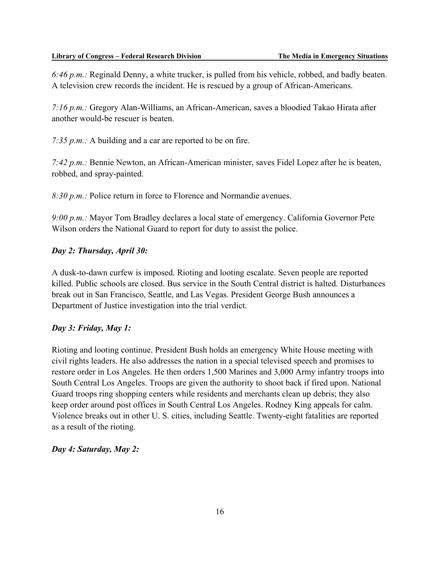*6:46 p.m.:* Reginald Denny, a white trucker, is pulled from his vehicle, robbed, and badly beaten. A television crew records the incident. He is rescued by a group of African-Americans.

*7:16 p.m.:* Gregory Alan-Williams, an African-American, saves a bloodied Takao Hirata after another would-be rescuer is beaten.

*7:35 p.m.:* A building and a car are reported to be on fire.

*7:42 p.m.:* Bennie Newton, an African-American minister, saves Fidel Lopez after he is beaten, robbed, and spray-painted.

*8:30 p.m.:* Police return in force to Florence and Normandie avenues.

*9:00 p.m.:* Mayor Tom Bradley declares a local state of emergency. California Governor Pete Wilson orders the National Guard to report for duty to assist the police.

### *Day 2: Thursday, April 30:*

A dusk-to-dawn curfew is imposed. Rioting and looting escalate. Seven people are reported killed. Public schools are closed. Bus service in the South Central district is halted. Disturbances break out in San Francisco, Seattle, and Las Vegas. President George Bush announces a Department of Justice investigation into the trial verdict.

### *Day 3: Friday, May 1:*

Rioting and looting continue. President Bush holds an emergency White House meeting with civil rights leaders. He also addresses the nation in a special televised speech and promises to restore order in Los Angeles. He then orders 1,500 Marines and 3,000 Army infantry troops into South Central Los Angeles. Troops are given the authority to shoot back if fired upon. National Guard troops ring shopping centers while residents and merchants clean up debris; they also keep order around post offices in South Central Los Angeles. Rodney King appeals for calm. Violence breaks out in other U. S. cities, including Seattle. Twenty-eight fatalities are reported as a result of the rioting.

### *Day 4: Saturday, May 2:*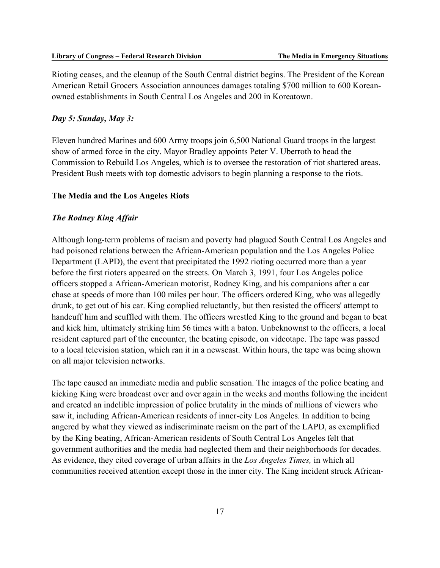Rioting ceases, and the cleanup of the South Central district begins. The President of the Korean American Retail Grocers Association announces damages totaling \$700 million to 600 Koreanowned establishments in South Central Los Angeles and 200 in Koreatown.

#### *Day 5: Sunday, May 3:*

Eleven hundred Marines and 600 Army troops join 6,500 National Guard troops in the largest show of armed force in the city. Mayor Bradley appoints Peter V. Uberroth to head the Commission to Rebuild Los Angeles, which is to oversee the restoration of riot shattered areas. President Bush meets with top domestic advisors to begin planning a response to the riots.

#### **The Media and the Los Angeles Riots**

### *The Rodney King Affair*

Although long-term problems of racism and poverty had plagued South Central Los Angeles and had poisoned relations between the African-American population and the Los Angeles Police Department (LAPD), the event that precipitated the 1992 rioting occurred more than a year before the first rioters appeared on the streets. On March 3, 1991, four Los Angeles police officers stopped a African-American motorist, Rodney King, and his companions after a car chase at speeds of more than 100 miles per hour. The officers ordered King, who was allegedly drunk, to get out of his car. King complied reluctantly, but then resisted the officers' attempt to handcuff him and scuffled with them. The officers wrestled King to the ground and began to beat and kick him, ultimately striking him 56 times with a baton. Unbeknownst to the officers, a local resident captured part of the encounter, the beating episode, on videotape. The tape was passed to a local television station, which ran it in a newscast. Within hours, the tape was being shown on all major television networks.

The tape caused an immediate media and public sensation. The images of the police beating and kicking King were broadcast over and over again in the weeks and months following the incident and created an indelible impression of police brutality in the minds of millions of viewers who saw it, including African-American residents of inner-city Los Angeles. In addition to being angered by what they viewed as indiscriminate racism on the part of the LAPD, as exemplified by the King beating, African-American residents of South Central Los Angeles felt that government authorities and the media had neglected them and their neighborhoods for decades. As evidence, they cited coverage of urban affairs in the *Los Angeles Times,* in which all communities received attention except those in the inner city. The King incident struck African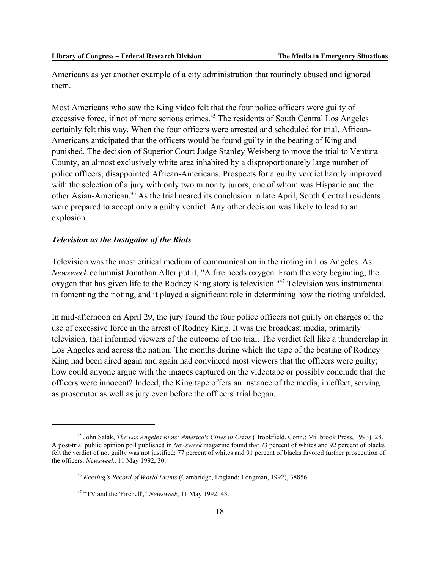Americans as yet another example of a city administration that routinely abused and ignored them.

Most Americans who saw the King video felt that the four police officers were guilty of excessive force, if not of more serious crimes.<sup>45</sup> The residents of South Central Los Angeles certainly felt this way. When the four officers were arrested and scheduled for trial, African-Americans anticipated that the officers would be found guilty in the beating of King and punished. The decision of Superior Court Judge Stanley Weisberg to move the trial to Ventura County, an almost exclusively white area inhabited by a disproportionately large number of police officers, disappointed African-Americans. Prospects for a guilty verdict hardly improved with the selection of a jury with only two minority jurors, one of whom was Hispanic and the other Asian-American.46 As the trial neared its conclusion in late April, South Central residents were prepared to accept only a guilty verdict. Any other decision was likely to lead to an explosion.

### *Television as the Instigator of the Riots*

Television was the most critical medium of communication in the rioting in Los Angeles. As *Newsweek* columnist Jonathan Alter put it, "A fire needs oxygen. From the very beginning, the oxygen that has given life to the Rodney King story is television."47 Television was instrumental in fomenting the rioting, and it played a significant role in determining how the rioting unfolded.

In mid-afternoon on April 29, the jury found the four police officers not guilty on charges of the use of excessive force in the arrest of Rodney King. It was the broadcast media, primarily television, that informed viewers of the outcome of the trial. The verdict fell like a thunderclap in Los Angeles and across the nation. The months during which the tape of the beating of Rodney King had been aired again and again had convinced most viewers that the officers were guilty; how could anyone argue with the images captured on the videotape or possibly conclude that the officers were innocent? Indeed, the King tape offers an instance of the media, in effect, serving as prosecutor as well as jury even before the officers' trial began.

<sup>45</sup> John Salak, *The Los Angeles Riots: America's Cities in Crisis* (Brookfield, Conn.: Millbrook Press, 1993), 28. A post-trial public opinion poll published in *Newsweek* magazine found that 73 percent of whites and 92 percent of blacks felt the verdict of not guilty was not justified; 77 percent of whites and 91 percent of blacks favored further prosecution of the officers. *Newsweek*, 11 May 1992, 30.

<sup>46</sup> *Keesing's Record of World Events* (Cambridge, England: Longman, 1992), 38856.

<sup>47 &</sup>quot;TV and the 'Firebell'," *Newsweek*, 11 May 1992, 43.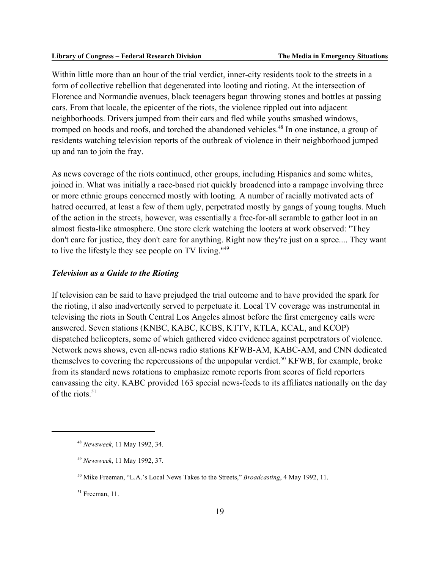Within little more than an hour of the trial verdict, inner-city residents took to the streets in a form of collective rebellion that degenerated into looting and rioting. At the intersection of Florence and Normandie avenues, black teenagers began throwing stones and bottles at passing cars. From that locale, the epicenter of the riots, the violence rippled out into adjacent neighborhoods. Drivers jumped from their cars and fled while youths smashed windows, tromped on hoods and roofs, and torched the abandoned vehicles.<sup>48</sup> In one instance, a group of residents watching television reports of the outbreak of violence in their neighborhood jumped up and ran to join the fray.

As news coverage of the riots continued, other groups, including Hispanics and some whites, joined in. What was initially a race-based riot quickly broadened into a rampage involving three or more ethnic groups concerned mostly with looting. A number of racially motivated acts of hatred occurred, at least a few of them ugly, perpetrated mostly by gangs of young toughs. Much of the action in the streets, however, was essentially a free-for-all scramble to gather loot in an almost fiesta-like atmosphere. One store clerk watching the looters at work observed: "They don't care for justice, they don't care for anything. Right now they're just on a spree.... They want to live the lifestyle they see people on TV living."49

### *Television as a Guide to the Rioting*

If television can be said to have prejudged the trial outcome and to have provided the spark for the rioting, it also inadvertently served to perpetuate it. Local TV coverage was instrumental in televising the riots in South Central Los Angeles almost before the first emergency calls were answered. Seven stations (KNBC, KABC, KCBS, KTTV, KTLA, KCAL, and KCOP) dispatched helicopters, some of which gathered video evidence against perpetrators of violence. Network news shows, even all-news radio stations KFWB-AM, KABC-AM, and CNN dedicated themselves to covering the repercussions of the unpopular verdict.<sup>50</sup> KFWB, for example, broke from its standard news rotations to emphasize remote reports from scores of field reporters canvassing the city. KABC provided 163 special news-feeds to its affiliates nationally on the day of the riots. $51$ 

<sup>48</sup> *Newsweek*, 11 May 1992, 34.

<sup>49</sup> *Newsweek*, 11 May 1992, 37.

<sup>50</sup> Mike Freeman, "L.A.'s Local News Takes to the Streets," *Broadcasting*, 4 May 1992, 11.

 $51$  Freeman, 11.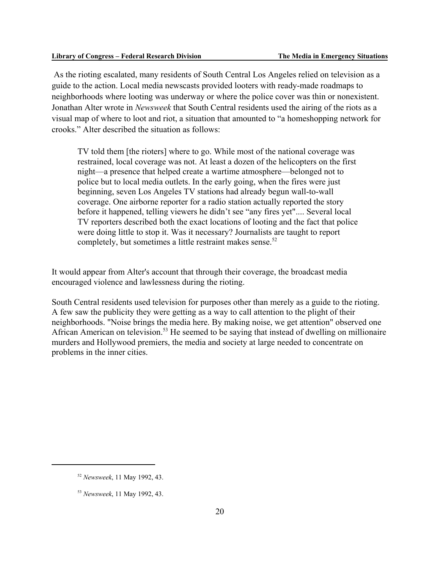As the rioting escalated, many residents of South Central Los Angeles relied on television as a guide to the action. Local media newscasts provided looters with ready-made roadmaps to neighborhoods where looting was underway or where the police cover was thin or nonexistent. Jonathan Alter wrote in *Newsweek* that South Central residents used the airing of the riots as a visual map of where to loot and riot, a situation that amounted to "a homeshopping network for crooks." Alter described the situation as follows:

TV told them [the rioters] where to go. While most of the national coverage was restrained, local coverage was not. At least a dozen of the helicopters on the first night—a presence that helped create a wartime atmosphere—belonged not to police but to local media outlets. In the early going, when the fires were just beginning, seven Los Angeles TV stations had already begun wall-to-wall coverage. One airborne reporter for a radio station actually reported the story before it happened, telling viewers he didn't see "any fires yet".... Several local TV reporters described both the exact locations of looting and the fact that police were doing little to stop it. Was it necessary? Journalists are taught to report completely, but sometimes a little restraint makes sense.<sup>52</sup>

It would appear from Alter's account that through their coverage, the broadcast media encouraged violence and lawlessness during the rioting.

South Central residents used television for purposes other than merely as a guide to the rioting. A few saw the publicity they were getting as a way to call attention to the plight of their neighborhoods. "Noise brings the media here. By making noise, we get attention" observed one African American on television.53 He seemed to be saying that instead of dwelling on millionaire murders and Hollywood premiers, the media and society at large needed to concentrate on problems in the inner cities.

<sup>52</sup> *Newsweek*, 11 May 1992, 43.

<sup>53</sup> *Newsweek*, 11 May 1992, 43.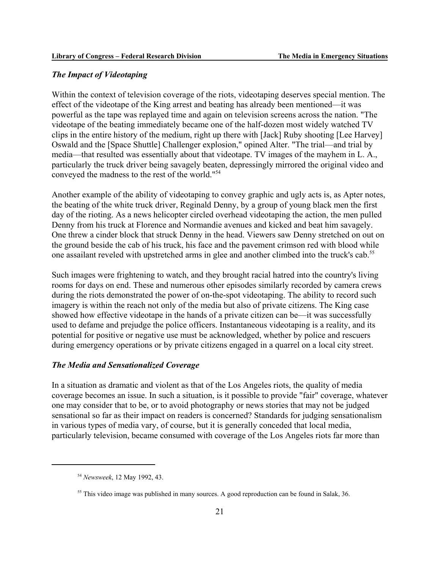### *The Impact of Videotaping*

Within the context of television coverage of the riots, videotaping deserves special mention. The effect of the videotape of the King arrest and beating has already been mentioned—it was powerful as the tape was replayed time and again on television screens across the nation. "The videotape of the beating immediately became one of the half-dozen most widely watched TV clips in the entire history of the medium, right up there with [Jack] Ruby shooting [Lee Harvey] Oswald and the [Space Shuttle] Challenger explosion," opined Alter. "The trial—and trial by media—that resulted was essentially about that videotape. TV images of the mayhem in L. A., particularly the truck driver being savagely beaten, depressingly mirrored the original video and conveyed the madness to the rest of the world."54

Another example of the ability of videotaping to convey graphic and ugly acts is, as Apter notes, the beating of the white truck driver, Reginald Denny, by a group of young black men the first day of the rioting. As a news helicopter circled overhead videotaping the action, the men pulled Denny from his truck at Florence and Normandie avenues and kicked and beat him savagely. One threw a cinder block that struck Denny in the head. Viewers saw Denny stretched on out on the ground beside the cab of his truck, his face and the pavement crimson red with blood while one assailant reveled with upstretched arms in glee and another climbed into the truck's cab.<sup>55</sup>

Such images were frightening to watch, and they brought racial hatred into the country's living rooms for days on end. These and numerous other episodes similarly recorded by camera crews during the riots demonstrated the power of on-the-spot videotaping. The ability to record such imagery is within the reach not only of the media but also of private citizens. The King case showed how effective videotape in the hands of a private citizen can be—it was successfully used to defame and prejudge the police officers. Instantaneous videotaping is a reality, and its potential for positive or negative use must be acknowledged, whether by police and rescuers during emergency operations or by private citizens engaged in a quarrel on a local city street.

### *The Media and Sensationalized Coverage*

In a situation as dramatic and violent as that of the Los Angeles riots, the quality of media coverage becomes an issue. In such a situation, is it possible to provide "fair" coverage, whatever one may consider that to be, or to avoid photography or news stories that may not be judged sensational so far as their impact on readers is concerned? Standards for judging sensationalism in various types of media vary, of course, but it is generally conceded that local media, particularly television, became consumed with coverage of the Los Angeles riots far more than

<sup>54</sup> *Newsweek*, 12 May 1992, 43.

<sup>&</sup>lt;sup>55</sup> This video image was published in many sources. A good reproduction can be found in Salak, 36.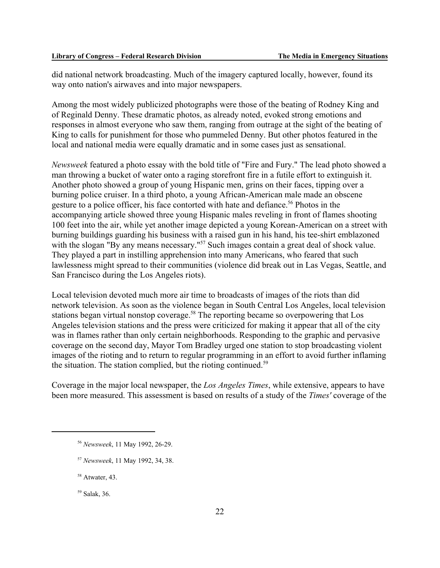did national network broadcasting. Much of the imagery captured locally, however, found its way onto nation's airwaves and into major newspapers.

Among the most widely publicized photographs were those of the beating of Rodney King and of Reginald Denny. These dramatic photos, as already noted, evoked strong emotions and responses in almost everyone who saw them, ranging from outrage at the sight of the beating of King to calls for punishment for those who pummeled Denny. But other photos featured in the local and national media were equally dramatic and in some cases just as sensational.

*Newsweek* featured a photo essay with the bold title of "Fire and Fury." The lead photo showed a man throwing a bucket of water onto a raging storefront fire in a futile effort to extinguish it. Another photo showed a group of young Hispanic men, grins on their faces, tipping over a burning police cruiser. In a third photo, a young African-American male made an obscene gesture to a police officer, his face contorted with hate and defiance.<sup>56</sup> Photos in the accompanying article showed three young Hispanic males reveling in front of flames shooting 100 feet into the air, while yet another image depicted a young Korean-American on a street with burning buildings guarding his business with a raised gun in his hand, his tee-shirt emblazoned with the slogan "By any means necessary."<sup>57</sup> Such images contain a great deal of shock value. They played a part in instilling apprehension into many Americans, who feared that such lawlessness might spread to their communities (violence did break out in Las Vegas, Seattle, and San Francisco during the Los Angeles riots).

Local television devoted much more air time to broadcasts of images of the riots than did network television. As soon as the violence began in South Central Los Angeles, local television stations began virtual nonstop coverage.<sup>58</sup> The reporting became so overpowering that Los Angeles television stations and the press were criticized for making it appear that all of the city was in flames rather than only certain neighborhoods. Responding to the graphic and pervasive coverage on the second day, Mayor Tom Bradley urged one station to stop broadcasting violent images of the rioting and to return to regular programming in an effort to avoid further inflaming the situation. The station complied, but the rioting continued.<sup>59</sup>

Coverage in the major local newspaper, the *Los Angeles Times*, while extensive, appears to have been more measured. This assessment is based on results of a study of the *Times'* coverage of the

<sup>56</sup> *Newsweek*, 11 May 1992, 26-29.

<sup>57</sup> *Newsweek*, 11 May 1992, 34, 38.

<sup>58</sup> Atwater, 43.

<sup>59</sup> Salak, 36.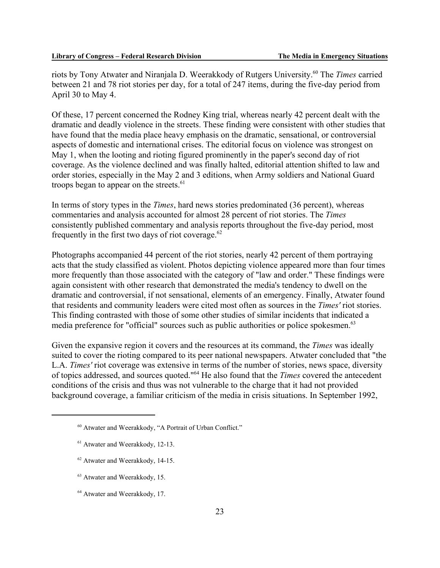riots by Tony Atwater and Niranjala D. Weerakkody of Rutgers University.60 The *Times* carried between 21 and 78 riot stories per day, for a total of 247 items, during the five-day period from April 30 to May 4.

Of these, 17 percent concerned the Rodney King trial, whereas nearly 42 percent dealt with the dramatic and deadly violence in the streets. These finding were consistent with other studies that have found that the media place heavy emphasis on the dramatic, sensational, or controversial aspects of domestic and international crises. The editorial focus on violence was strongest on May 1, when the looting and rioting figured prominently in the paper's second day of riot coverage. As the violence declined and was finally halted, editorial attention shifted to law and order stories, especially in the May 2 and 3 editions, when Army soldiers and National Guard troops began to appear on the streets. $61$ 

In terms of story types in the *Times*, hard news stories predominated (36 percent), whereas commentaries and analysis accounted for almost 28 percent of riot stories. The *Times* consistently published commentary and analysis reports throughout the five-day period, most frequently in the first two days of riot coverage. $62$ 

Photographs accompanied 44 percent of the riot stories, nearly 42 percent of them portraying acts that the study classified as violent. Photos depicting violence appeared more than four times more frequently than those associated with the category of "law and order." These findings were again consistent with other research that demonstrated the media's tendency to dwell on the dramatic and controversial, if not sensational, elements of an emergency. Finally, Atwater found that residents and community leaders were cited most often as sources in the *Times'* riot stories. This finding contrasted with those of some other studies of similar incidents that indicated a media preference for "official" sources such as public authorities or police spokesmen.<sup>63</sup>

Given the expansive region it covers and the resources at its command, the *Times* was ideally suited to cover the rioting compared to its peer national newspapers. Atwater concluded that "the L.A. *Times'* riot coverage was extensive in terms of the number of stories, news space, diversity of topics addressed, and sources quoted."64 He also found that the *Times* covered the antecedent conditions of the crisis and thus was not vulnerable to the charge that it had not provided background coverage, a familiar criticism of the media in crisis situations. In September 1992,

- 62 Atwater and Weerakkody, 14-15.
- 63 Atwater and Weerakkody, 15.
- 64 Atwater and Weerakkody, 17.

<sup>60</sup> Atwater and Weerakkody, "A Portrait of Urban Conflict."

<sup>61</sup> Atwater and Weerakkody, 12-13.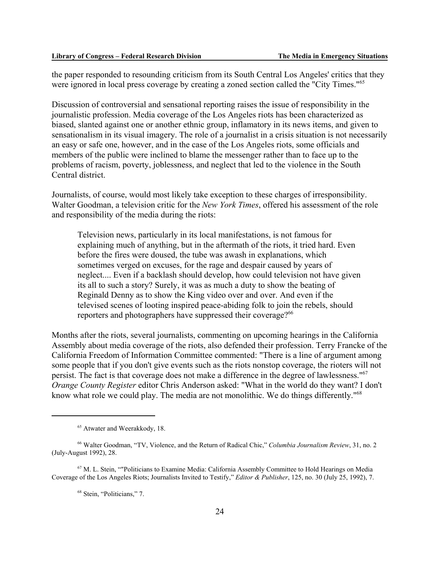the paper responded to resounding criticism from its South Central Los Angeles' critics that they were ignored in local press coverage by creating a zoned section called the "City Times."<sup>65</sup>

Discussion of controversial and sensational reporting raises the issue of responsibility in the journalistic profession. Media coverage of the Los Angeles riots has been characterized as biased, slanted against one or another ethnic group, inflamatory in its news items, and given to sensationalism in its visual imagery. The role of a journalist in a crisis situation is not necessarily an easy or safe one, however, and in the case of the Los Angeles riots, some officials and members of the public were inclined to blame the messenger rather than to face up to the problems of racism, poverty, joblessness, and neglect that led to the violence in the South Central district.

Journalists, of course, would most likely take exception to these charges of irresponsibility. Walter Goodman, a television critic for the *New York Times*, offered his assessment of the role and responsibility of the media during the riots:

Television news, particularly in its local manifestations, is not famous for explaining much of anything, but in the aftermath of the riots, it tried hard. Even before the fires were doused, the tube was awash in explanations, which sometimes verged on excuses, for the rage and despair caused by years of neglect.... Even if a backlash should develop, how could television not have given its all to such a story? Surely, it was as much a duty to show the beating of Reginald Denny as to show the King video over and over. And even if the televised scenes of looting inspired peace-abiding folk to join the rebels, should reporters and photographers have suppressed their coverage?<sup>66</sup>

Months after the riots, several journalists, commenting on upcoming hearings in the California Assembly about media coverage of the riots, also defended their profession. Terry Francke of the California Freedom of Information Committee commented: "There is a line of argument among some people that if you don't give events such as the riots nonstop coverage, the rioters will not persist. The fact is that coverage does not make a difference in the degree of lawlessness."67 *Orange County Register* editor Chris Anderson asked: "What in the world do they want? I don't know what role we could play. The media are not monolithic. We do things differently."<sup>68</sup>

<sup>65</sup> Atwater and Weerakkody, 18.

<sup>66</sup> Walter Goodman, "TV, Violence, and the Return of Radical Chic," *Columbia Journalism Review*, 31, no. 2 (July-August 1992), 28.

<sup>67</sup> M. L. Stein, ""Politicians to Examine Media: California Assembly Committee to Hold Hearings on Media Coverage of the Los Angeles Riots; Journalists Invited to Testify," *Editor & Publisher*, 125, no. 30 (July 25, 1992), 7.

<sup>68</sup> Stein, "Politicians," 7.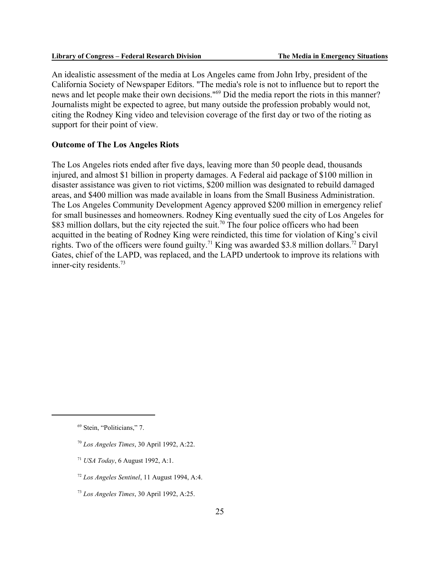An idealistic assessment of the media at Los Angeles came from John Irby, president of the California Society of Newspaper Editors. "The media's role is not to influence but to report the news and let people make their own decisions."69 Did the media report the riots in this manner? Journalists might be expected to agree, but many outside the profession probably would not, citing the Rodney King video and television coverage of the first day or two of the rioting as support for their point of view.

#### **Outcome of The Los Angeles Riots**

The Los Angeles riots ended after five days, leaving more than 50 people dead, thousands injured, and almost \$1 billion in property damages. A Federal aid package of \$100 million in disaster assistance was given to riot victims, \$200 million was designated to rebuild damaged areas, and \$400 million was made available in loans from the Small Business Administration. The Los Angeles Community Development Agency approved \$200 million in emergency relief for small businesses and homeowners. Rodney King eventually sued the city of Los Angeles for \$83 million dollars, but the city rejected the suit.<sup>70</sup> The four police officers who had been acquitted in the beating of Rodney King were reindicted, this time for violation of King's civil rights. Two of the officers were found guilty.<sup>71</sup> King was awarded \$3.8 million dollars.<sup>72</sup> Daryl Gates, chief of the LAPD, was replaced, and the LAPD undertook to improve its relations with inner-city residents.73

- <sup>70</sup> *Los Angeles Times*, 30 April 1992, A:22.
- <sup>71</sup> *USA Today*, 6 August 1992, A:1.
- <sup>72</sup> *Los Angeles Sentinel*, 11 August 1994, A:4.
- <sup>73</sup> *Los Angeles Times*, 30 April 1992, A:25.

<sup>69</sup> Stein, "Politicians," 7.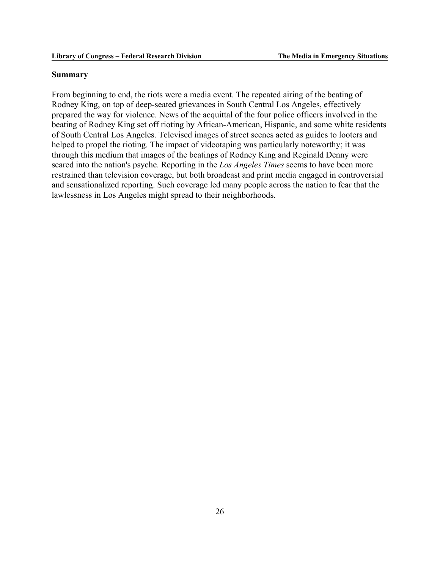### **Summary**

From beginning to end, the riots were a media event. The repeated airing of the beating of Rodney King, on top of deep-seated grievances in South Central Los Angeles, effectively prepared the way for violence. News of the acquittal of the four police officers involved in the beating of Rodney King set off rioting by African-American, Hispanic, and some white residents of South Central Los Angeles. Televised images of street scenes acted as guides to looters and helped to propel the rioting. The impact of videotaping was particularly noteworthy; it was through this medium that images of the beatings of Rodney King and Reginald Denny were seared into the nation's psyche. Reporting in the *Los Angeles Times* seems to have been more restrained than television coverage, but both broadcast and print media engaged in controversial and sensationalized reporting. Such coverage led many people across the nation to fear that the lawlessness in Los Angeles might spread to their neighborhoods.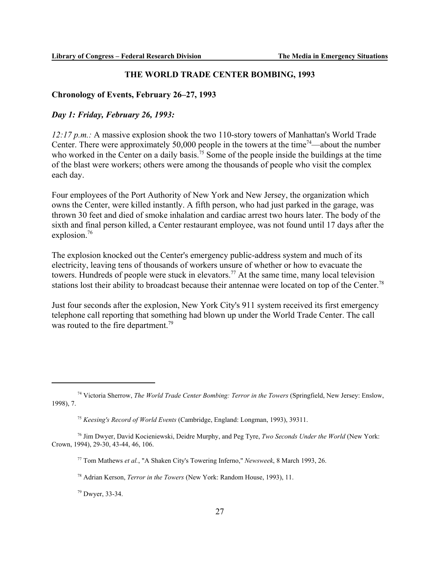### **THE WORLD TRADE CENTER BOMBING, 1993**

### **Chronology of Events, February 26–27, 1993**

### *Day 1: Friday, February 26, 1993:*

*12:17 p.m.:* A massive explosion shook the two 110-story towers of Manhattan's World Trade Center. There were approximately 50,000 people in the towers at the time<sup>74</sup>—about the number who worked in the Center on a daily basis.<sup>75</sup> Some of the people inside the buildings at the time of the blast were workers; others were among the thousands of people who visit the complex each day.

Four employees of the Port Authority of New York and New Jersey, the organization which owns the Center, were killed instantly. A fifth person, who had just parked in the garage, was thrown 30 feet and died of smoke inhalation and cardiac arrest two hours later. The body of the sixth and final person killed, a Center restaurant employee, was not found until 17 days after the explosion.<sup>76</sup>

The explosion knocked out the Center's emergency public-address system and much of its electricity, leaving tens of thousands of workers unsure of whether or how to evacuate the towers. Hundreds of people were stuck in elevators.<sup>77</sup> At the same time, many local television stations lost their ability to broadcast because their antennae were located on top of the Center.<sup>78</sup>

Just four seconds after the explosion, New York City's 911 system received its first emergency telephone call reporting that something had blown up under the World Trade Center. The call was routed to the fire department.<sup>79</sup>

79 Dwyer, 33-34.

<sup>74</sup> Victoria Sherrow, *The World Trade Center Bombing: Terror in the Towers* (Springfield, New Jersey: Enslow, 1998), 7.

<sup>75</sup> *Keesing's Record of World Events* (Cambridge, England: Longman, 1993), 39311.

<sup>76</sup> Jim Dwyer, David Kocieniewski, Deidre Murphy, and Peg Tyre, *Two Seconds Under the World* (New York: Crown, 1994), 29-30, 43-44, 46, 106.

<sup>77</sup> Tom Mathews *et al.*, "A Shaken City's Towering Inferno," *Newsweek*, 8 March 1993, 26.

<sup>78</sup> Adrian Kerson, *Terror in the Towers* (New York: Random House, 1993), 11.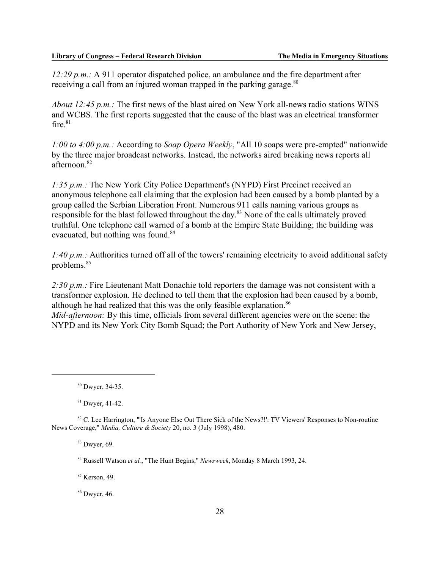*12:29 p.m.:* A 911 operator dispatched police, an ambulance and the fire department after receiving a call from an injured woman trapped in the parking garage.<sup>80</sup>

*About 12:45 p.m.:* The first news of the blast aired on New York all-news radio stations WINS and WCBS. The first reports suggested that the cause of the blast was an electrical transformer fire. $81$ 

*1:00 to 4:00 p.m.:* According to *Soap Opera Weekly*, "All 10 soaps were pre-empted" nationwide by the three major broadcast networks. Instead, the networks aired breaking news reports all afternoon.82

*1:35 p.m.:* The New York City Police Department's (NYPD) First Precinct received an anonymous telephone call claiming that the explosion had been caused by a bomb planted by a group called the Serbian Liberation Front. Numerous 911 calls naming various groups as responsible for the blast followed throughout the day.83 None of the calls ultimately proved truthful. One telephone call warned of a bomb at the Empire State Building; the building was evacuated, but nothing was found.<sup>84</sup>

*1:40 p.m.:* Authorities turned off all of the towers' remaining electricity to avoid additional safety problems.85

2:30 p.m.: Fire Lieutenant Matt Donachie told reporters the damage was not consistent with a transformer explosion. He declined to tell them that the explosion had been caused by a bomb, although he had realized that this was the only feasible explanation.<sup>86</sup> *Mid-afternoon:* By this time, officials from several different agencies were on the scene: the

NYPD and its New York City Bomb Squad; the Port Authority of New York and New Jersey,

 $81$  Dwyer, 41-42.

 $83$  Dwyer, 69.

84 Russell Watson *et al.*, "The Hunt Begins," *Newsweek*, Monday 8 March 1993, 24.

85 Kerson, 49.

86 Dwyer, 46.

<sup>80</sup> Dwyer, 34-35.

<sup>&</sup>lt;sup>82</sup> C. Lee Harrington, "'Is Anyone Else Out There Sick of the News?!': TV Viewers' Responses to Non-routine News Coverage," *Media, Culture & Society* 20, no. 3 (July 1998), 480.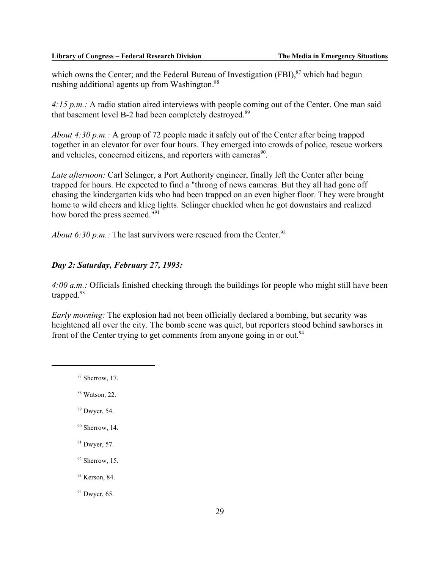which owns the Center; and the Federal Bureau of Investigation  $(FBI)$ ,  $87$  which had begun rushing additional agents up from Washington.<sup>88</sup>

*4:15 p.m.:* A radio station aired interviews with people coming out of the Center. One man said that basement level B-2 had been completely destroyed.<sup>89</sup>

*About 4:30 p.m.:* A group of 72 people made it safely out of the Center after being trapped together in an elevator for over four hours. They emerged into crowds of police, rescue workers and vehicles, concerned citizens, and reporters with cameras<sup>90</sup>.

*Late afternoon:* Carl Selinger, a Port Authority engineer, finally left the Center after being trapped for hours. He expected to find a "throng of news cameras. But they all had gone off chasing the kindergarten kids who had been trapped on an even higher floor. They were brought home to wild cheers and klieg lights. Selinger chuckled when he got downstairs and realized how bored the press seemed."91

*About 6:30 p.m.:* The last survivors were rescued from the Center.<sup>92</sup>

### *Day 2: Saturday, February 27, 1993:*

*4:00 a.m.:* Officials finished checking through the buildings for people who might still have been trapped. $93$ 

*Early morning:* The explosion had not been officially declared a bombing, but security was heightened all over the city. The bomb scene was quiet, but reporters stood behind sawhorses in front of the Center trying to get comments from anyone going in or out.<sup>94</sup>

- $87$  Sherrow, 17.
- 88 Watson, 22.
- 89 Dwyer, 54.
- $90$  Sherrow, 14.
- $91$  Dwyer, 57.
- $92$  Sherrow, 15.
- 93 Kerson, 84.

 $94$  Dwyer, 65.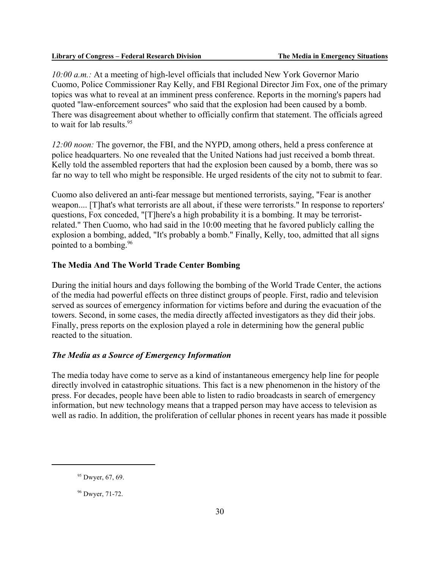*10:00 a.m.:* At a meeting of high-level officials that included New York Governor Mario Cuomo, Police Commissioner Ray Kelly, and FBI Regional Director Jim Fox, one of the primary topics was what to reveal at an imminent press conference. Reports in the morning's papers had quoted "law-enforcement sources" who said that the explosion had been caused by a bomb. There was disagreement about whether to officially confirm that statement. The officials agreed to wait for lab results.  $95$ 

*12:00 noon:* The governor, the FBI, and the NYPD, among others, held a press conference at police headquarters. No one revealed that the United Nations had just received a bomb threat. Kelly told the assembled reporters that had the explosion been caused by a bomb, there was so far no way to tell who might be responsible. He urged residents of the city not to submit to fear.

Cuomo also delivered an anti-fear message but mentioned terrorists, saying, "Fear is another weapon.... [T]hat's what terrorists are all about, if these were terrorists." In response to reporters' questions, Fox conceded, "[T]here's a high probability it is a bombing. It may be terroristrelated." Then Cuomo, who had said in the 10:00 meeting that he favored publicly calling the explosion a bombing, added, "It's probably a bomb." Finally, Kelly, too, admitted that all signs pointed to a bombing.96

### **The Media And The World Trade Center Bombing**

During the initial hours and days following the bombing of the World Trade Center, the actions of the media had powerful effects on three distinct groups of people. First, radio and television served as sources of emergency information for victims before and during the evacuation of the towers. Second, in some cases, the media directly affected investigators as they did their jobs. Finally, press reports on the explosion played a role in determining how the general public reacted to the situation.

### *The Media as a Source of Emergency Information*

The media today have come to serve as a kind of instantaneous emergency help line for people directly involved in catastrophic situations. This fact is a new phenomenon in the history of the press. For decades, people have been able to listen to radio broadcasts in search of emergency information, but new technology means that a trapped person may have access to television as well as radio. In addition, the proliferation of cellular phones in recent years has made it possible

<sup>&</sup>lt;sup>95</sup> Dwyer, 67, 69.

<sup>96</sup> Dwyer, 71-72.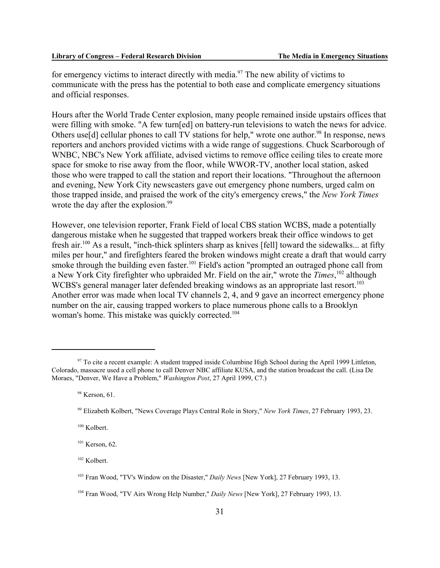for emergency victims to interact directly with media.<sup>97</sup> The new ability of victims to communicate with the press has the potential to both ease and complicate emergency situations and official responses.

Hours after the World Trade Center explosion, many people remained inside upstairs offices that were filling with smoke. "A few turn[ed] on battery-run televisions to watch the news for advice. Others use<sup>[d]</sup> cellular phones to call TV stations for help," wrote one author.<sup>98</sup> In response, news reporters and anchors provided victims with a wide range of suggestions. Chuck Scarborough of WNBC, NBC's New York affiliate, advised victims to remove office ceiling tiles to create more space for smoke to rise away from the floor, while WWOR-TV, another local station, asked those who were trapped to call the station and report their locations. "Throughout the afternoon and evening, New York City newscasters gave out emergency phone numbers, urged calm on those trapped inside, and praised the work of the city's emergency crews," the *New York Times* wrote the day after the explosion.<sup>99</sup>

However, one television reporter, Frank Field of local CBS station WCBS, made a potentially dangerous mistake when he suggested that trapped workers break their office windows to get fresh air.100 As a result, "inch-thick splinters sharp as knives [fell] toward the sidewalks... at fifty miles per hour," and firefighters feared the broken windows might create a draft that would carry smoke through the building even faster.<sup>101</sup> Field's action "prompted an outraged phone call from a New York City firefighter who upbraided Mr. Field on the air," wrote the *Times*, 102 although WCBS's general manager later defended breaking windows as an appropriate last resort.<sup>103</sup> Another error was made when local TV channels 2, 4, and 9 gave an incorrect emergency phone number on the air, causing trapped workers to place numerous phone calls to a Brooklyn woman's home. This mistake was quickly corrected.<sup>104</sup>

102 Kolbert.

<sup>&</sup>lt;sup>97</sup> To cite a recent example: A student trapped inside Columbine High School during the April 1999 Littleton, Colorado, massacre used a cell phone to call Denver NBC affiliate KUSA, and the station broadcast the call. (Lisa De Moraes, "Denver, We Have a Problem," *Washington Post*, 27 April 1999, C7.)

<sup>98</sup> Kerson, 61.

<sup>99</sup> Elizabeth Kolbert, "News Coverage Plays Central Role in Story," *New York Times*, 27 February 1993, 23.

<sup>&</sup>lt;sup>100</sup> Kolbert.

 $101$  Kerson, 62.

<sup>103</sup> Fran Wood, "TV's Window on the Disaster," *Daily News* [New York], 27 February 1993, 13.

<sup>104</sup> Fran Wood, "TV Airs Wrong Help Number," *Daily News* [New York], 27 February 1993, 13.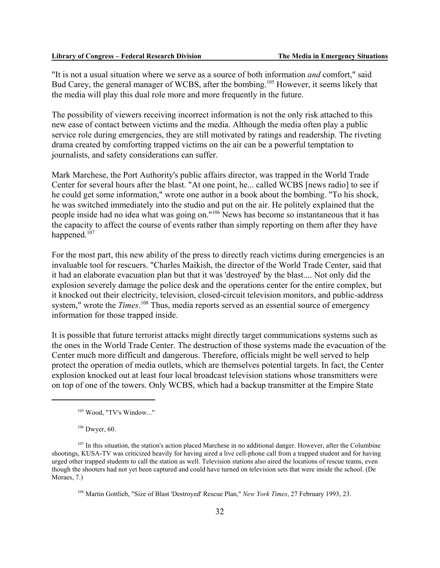"It is not a usual situation where we serve as a source of both information *and* comfort," said Bud Carey, the general manager of WCBS, after the bombing.<sup>105</sup> However, it seems likely that the media will play this dual role more and more frequently in the future.

The possibility of viewers receiving incorrect information is not the only risk attached to this new ease of contact between victims and the media. Although the media often play a public service role during emergencies, they are still motivated by ratings and readership. The riveting drama created by comforting trapped victims on the air can be a powerful temptation to journalists, and safety considerations can suffer.

Mark Marchese, the Port Authority's public affairs director, was trapped in the World Trade Center for several hours after the blast. "At one point, he... called WCBS [news radio] to see if he could get some information," wrote one author in a book about the bombing. "To his shock, he was switched immediately into the studio and put on the air. He politely explained that the people inside had no idea what was going on."106 News has become so instantaneous that it has the capacity to affect the course of events rather than simply reporting on them after they have happened. $107$ 

For the most part, this new ability of the press to directly reach victims during emergencies is an invaluable tool for rescuers. "Charles Maikish, the director of the World Trade Center, said that it had an elaborate evacuation plan but that it was 'destroyed' by the blast.... Not only did the explosion severely damage the police desk and the operations center for the entire complex, but it knocked out their electricity, television, closed-circuit television monitors, and public-address system," wrote the *Times*.<sup>108</sup> Thus, media reports served as an essential source of emergency information for those trapped inside.

It is possible that future terrorist attacks might directly target communications systems such as the ones in the World Trade Center. The destruction of those systems made the evacuation of the Center much more difficult and dangerous. Therefore, officials might be well served to help protect the operation of media outlets, which are themselves potential targets. In fact, the Center explosion knocked out at least four local broadcast television stations whose transmitters were on top of one of the towers. Only WCBS, which had a backup transmitter at the Empire State

108 Martin Gottlieb, "Size of Blast 'Destroyed' Rescue Plan," *New York Times*, 27 February 1993, 23.

<sup>&</sup>lt;sup>105</sup> Wood, "TV's Window..."

<sup>106</sup> Dwyer, 60.

<sup>&</sup>lt;sup>107</sup> In this situation, the station's action placed Marchese in no additional danger. However, after the Columbine shootings, KUSA-TV was criticized heavily for having aired a live cell-phone call from a trapped student and for having urged other trapped students to call the station as well. Television stations also aired the locations of rescue teams, even though the shooters had not yet been captured and could have turned on television sets that were inside the school. (De Moraes, 7.)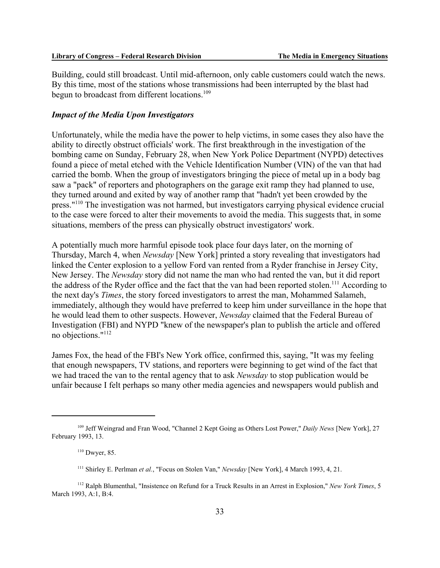Building, could still broadcast. Until mid-afternoon, only cable customers could watch the news. By this time, most of the stations whose transmissions had been interrupted by the blast had begun to broadcast from different locations.<sup>109</sup>

### *Impact of the Media Upon Investigators*

Unfortunately, while the media have the power to help victims, in some cases they also have the ability to directly obstruct officials' work. The first breakthrough in the investigation of the bombing came on Sunday, February 28, when New York Police Department (NYPD) detectives found a piece of metal etched with the Vehicle Identification Number (VIN) of the van that had carried the bomb. When the group of investigators bringing the piece of metal up in a body bag saw a "pack" of reporters and photographers on the garage exit ramp they had planned to use, they turned around and exited by way of another ramp that "hadn't yet been crowded by the press."110 The investigation was not harmed, but investigators carrying physical evidence crucial to the case were forced to alter their movements to avoid the media. This suggests that, in some situations, members of the press can physically obstruct investigators' work.

A potentially much more harmful episode took place four days later, on the morning of Thursday, March 4, when *Newsday* [New York] printed a story revealing that investigators had linked the Center explosion to a yellow Ford van rented from a Ryder franchise in Jersey City, New Jersey. The *Newsday* story did not name the man who had rented the van, but it did report the address of the Ryder office and the fact that the van had been reported stolen.<sup>111</sup> According to the next day's *Times*, the story forced investigators to arrest the man, Mohammed Salameh, immediately, although they would have preferred to keep him under surveillance in the hope that he would lead them to other suspects. However, *Newsday* claimed that the Federal Bureau of Investigation (FBI) and NYPD "knew of the newspaper's plan to publish the article and offered no objections."112

James Fox, the head of the FBI's New York office, confirmed this, saying, "It was my feeling that enough newspapers, TV stations, and reporters were beginning to get wind of the fact that we had traced the van to the rental agency that to ask *Newsday* to stop publication would be unfair because I felt perhaps so many other media agencies and newspapers would publish and

<sup>109</sup> Jeff Weingrad and Fran Wood, "Channel 2 Kept Going as Others Lost Power," *Daily News* [New York], 27 February 1993, 13.

 $110$  Dwyer, 85.

<sup>111</sup> Shirley E. Perlman *et al.*, "Focus on Stolen Van," *Newsday* [New York], 4 March 1993, 4, 21.

<sup>112</sup> Ralph Blumenthal, "Insistence on Refund for a Truck Results in an Arrest in Explosion," *New York Times*, 5 March 1993, A:1, B:4.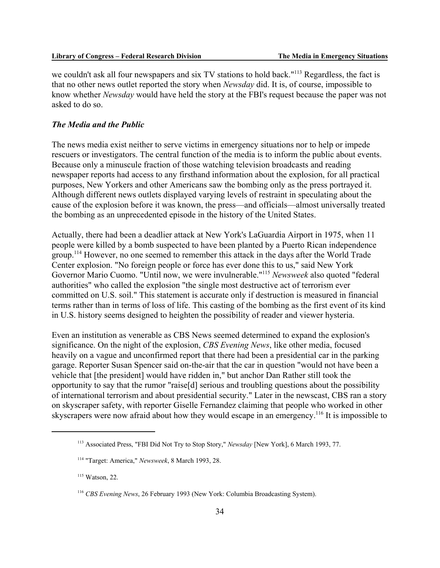we couldn't ask all four newspapers and six TV stations to hold back."<sup>113</sup> Regardless, the fact is that no other news outlet reported the story when *Newsday* did. It is, of course, impossible to know whether *Newsday* would have held the story at the FBI's request because the paper was not asked to do so.

### *The Media and the Public*

The news media exist neither to serve victims in emergency situations nor to help or impede rescuers or investigators. The central function of the media is to inform the public about events. Because only a minuscule fraction of those watching television broadcasts and reading newspaper reports had access to any firsthand information about the explosion, for all practical purposes, New Yorkers and other Americans saw the bombing only as the press portrayed it. Although different news outlets displayed varying levels of restraint in speculating about the cause of the explosion before it was known, the press—and officials—almost universally treated the bombing as an unprecedented episode in the history of the United States.

Actually, there had been a deadlier attack at New York's LaGuardia Airport in 1975, when 11 people were killed by a bomb suspected to have been planted by a Puerto Rican independence group.114 However, no one seemed to remember this attack in the days after the World Trade Center explosion. "No foreign people or force has ever done this to us," said New York Governor Mario Cuomo. "Until now, we were invulnerable."115 *Newsweek* also quoted "federal authorities" who called the explosion "the single most destructive act of terrorism ever committed on U.S. soil." This statement is accurate only if destruction is measured in financial terms rather than in terms of loss of life. This casting of the bombing as the first event of its kind in U.S. history seems designed to heighten the possibility of reader and viewer hysteria.

Even an institution as venerable as CBS News seemed determined to expand the explosion's significance. On the night of the explosion, *CBS Evening News*, like other media, focused heavily on a vague and unconfirmed report that there had been a presidential car in the parking garage. Reporter Susan Spencer said on-the-air that the car in question "would not have been a vehicle that [the president] would have ridden in," but anchor Dan Rather still took the opportunity to say that the rumor "raise[d] serious and troubling questions about the possibility of international terrorism and about presidential security." Later in the newscast, CBS ran a story on skyscraper safety, with reporter Giselle Fernandez claiming that people who worked in other skyscrapers were now afraid about how they would escape in an emergency.<sup>116</sup> It is impossible to

<sup>113</sup> Associated Press, "FBI Did Not Try to Stop Story," *Newsday* [New York], 6 March 1993, 77.

<sup>114 &</sup>quot;Target: America," *Newsweek*, 8 March 1993, 28.

<sup>115</sup> Watson, 22.

<sup>116</sup> *CBS Evening News*, 26 February 1993 (New York: Columbia Broadcasting System).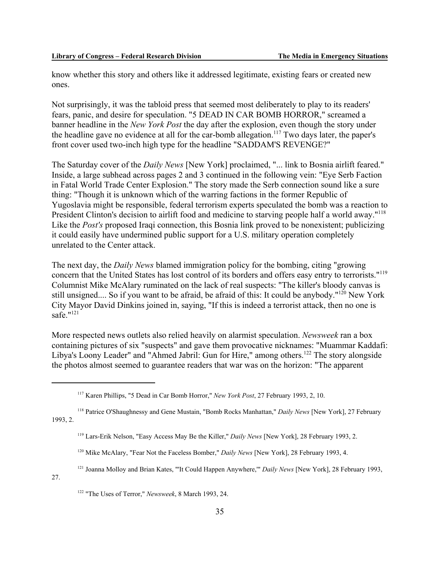know whether this story and others like it addressed legitimate, existing fears or created new ones.

Not surprisingly, it was the tabloid press that seemed most deliberately to play to its readers' fears, panic, and desire for speculation. "5 DEAD IN CAR BOMB HORROR," screamed a banner headline in the *New York Post* the day after the explosion, even though the story under the headline gave no evidence at all for the car-bomb allegation.<sup>117</sup> Two days later, the paper's front cover used two-inch high type for the headline "SADDAM'S REVENGE?"

The Saturday cover of the *Daily News* [New York] proclaimed, "... link to Bosnia airlift feared." Inside, a large subhead across pages 2 and 3 continued in the following vein: "Eye Serb Faction in Fatal World Trade Center Explosion." The story made the Serb connection sound like a sure thing: "Though it is unknown which of the warring factions in the former Republic of Yugoslavia might be responsible, federal terrorism experts speculated the bomb was a reaction to President Clinton's decision to airlift food and medicine to starving people half a world away."<sup>118</sup> Like the *Post's* proposed Iraqi connection, this Bosnia link proved to be nonexistent; publicizing it could easily have undermined public support for a U.S. military operation completely unrelated to the Center attack.

The next day, the *Daily News* blamed immigration policy for the bombing, citing "growing concern that the United States has lost control of its borders and offers easy entry to terrorists."119 Columnist Mike McAlary ruminated on the lack of real suspects: "The killer's bloody canvas is still unsigned.... So if you want to be afraid, be afraid of this: It could be anybody."<sup>120</sup> New York City Mayor David Dinkins joined in, saying, "If this is indeed a terrorist attack, then no one is safe."<sup>121</sup>

More respected news outlets also relied heavily on alarmist speculation. *Newsweek* ran a box containing pictures of six "suspects" and gave them provocative nicknames: "Muammar Kaddafi: Libya's Loony Leader" and "Ahmed Jabril: Gun for Hire," among others.<sup>122</sup> The story alongside the photos almost seemed to guarantee readers that war was on the horizon: "The apparent

- 120 Mike McAlary, "Fear Not the Faceless Bomber," *Daily News* [New York], 28 February 1993, 4.
- <sup>121</sup> Joanna Molloy and Brian Kates, "'It Could Happen Anywhere," *Daily News* [New York], 28 February 1993,

27.

<sup>117</sup> Karen Phillips, "5 Dead in Car Bomb Horror," *New York Post*, 27 February 1993, 2, 10.

<sup>118</sup> Patrice O'Shaughnessy and Gene Mustain, "Bomb Rocks Manhattan," *Daily News* [New York], 27 February 1993, 2.

<sup>119</sup> Lars-Erik Nelson, "Easy Access May Be the Killer," *Daily News* [New York], 28 February 1993, 2.

<sup>122 &</sup>quot;The Uses of Terror," *Newsweek*, 8 March 1993, 24.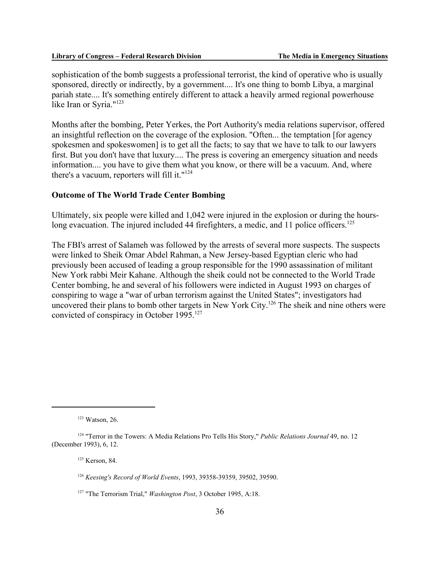sophistication of the bomb suggests a professional terrorist, the kind of operative who is usually sponsored, directly or indirectly, by a government.... It's one thing to bomb Libya, a marginal pariah state.... It's something entirely different to attack a heavily armed regional powerhouse like Iran or Syria."123

Months after the bombing, Peter Yerkes, the Port Authority's media relations supervisor, offered an insightful reflection on the coverage of the explosion. "Often... the temptation [for agency spokesmen and spokeswomen] is to get all the facts; to say that we have to talk to our lawyers first. But you don't have that luxury.... The press is covering an emergency situation and needs information.... you have to give them what you know, or there will be a vacuum. And, where there's a vacuum, reporters will fill it."124

### **Outcome of The World Trade Center Bombing**

Ultimately, six people were killed and 1,042 were injured in the explosion or during the hourslong evacuation. The injured included 44 firefighters, a medic, and 11 police officers.<sup>125</sup>

The FBI's arrest of Salameh was followed by the arrests of several more suspects. The suspects were linked to Sheik Omar Abdel Rahman, a New Jersey-based Egyptian cleric who had previously been accused of leading a group responsible for the 1990 assassination of militant New York rabbi Meir Kahane. Although the sheik could not be connected to the World Trade Center bombing, he and several of his followers were indicted in August 1993 on charges of conspiring to wage a "war of urban terrorism against the United States"; investigators had uncovered their plans to bomb other targets in New York City.<sup>126</sup> The sheik and nine others were convicted of conspiracy in October 1995.<sup>127</sup>

125 Kerson, 84.

<sup>123</sup> Watson, 26.

<sup>124 &</sup>quot;Terror in the Towers: A Media Relations Pro Tells His Story," *Public Relations Journal* 49, no. 12 (December 1993), 6, 12.

<sup>126</sup> *Keesing's Record of World Events*, 1993, 39358-39359, 39502, 39590.

<sup>127 &</sup>quot;The Terrorism Trial," *Washington Post*, 3 October 1995, A:18.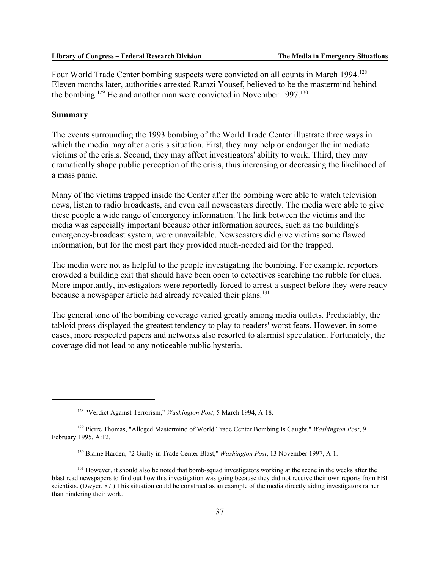Four World Trade Center bombing suspects were convicted on all counts in March 1994.<sup>128</sup> Eleven months later, authorities arrested Ramzi Yousef, believed to be the mastermind behind the bombing.<sup>129</sup> He and another man were convicted in November 1997.<sup>130</sup>

#### **Summary**

The events surrounding the 1993 bombing of the World Trade Center illustrate three ways in which the media may alter a crisis situation. First, they may help or endanger the immediate victims of the crisis. Second, they may affect investigators' ability to work. Third, they may dramatically shape public perception of the crisis, thus increasing or decreasing the likelihood of a mass panic.

Many of the victims trapped inside the Center after the bombing were able to watch television news, listen to radio broadcasts, and even call newscasters directly. The media were able to give these people a wide range of emergency information. The link between the victims and the media was especially important because other information sources, such as the building's emergency-broadcast system, were unavailable. Newscasters did give victims some flawed information, but for the most part they provided much-needed aid for the trapped.

The media were not as helpful to the people investigating the bombing. For example, reporters crowded a building exit that should have been open to detectives searching the rubble for clues. More importantly, investigators were reportedly forced to arrest a suspect before they were ready because a newspaper article had already revealed their plans.<sup>131</sup>

The general tone of the bombing coverage varied greatly among media outlets. Predictably, the tabloid press displayed the greatest tendency to play to readers' worst fears. However, in some cases, more respected papers and networks also resorted to alarmist speculation. Fortunately, the coverage did not lead to any noticeable public hysteria.

<sup>128 &</sup>quot;Verdict Against Terrorism," *Washington Post*, 5 March 1994, A:18.

<sup>129</sup> Pierre Thomas, "Alleged Mastermind of World Trade Center Bombing Is Caught," *Washington Post*, 9 February 1995, A:12.

<sup>130</sup> Blaine Harden, "2 Guilty in Trade Center Blast," *Washington Post*, 13 November 1997, A:1.

<sup>&</sup>lt;sup>131</sup> However, it should also be noted that bomb-squad investigators working at the scene in the weeks after the blast read newspapers to find out how this investigation was going because they did not receive their own reports from FBI scientists. (Dwyer, 87.) This situation could be construed as an example of the media directly aiding investigators rather than hindering their work.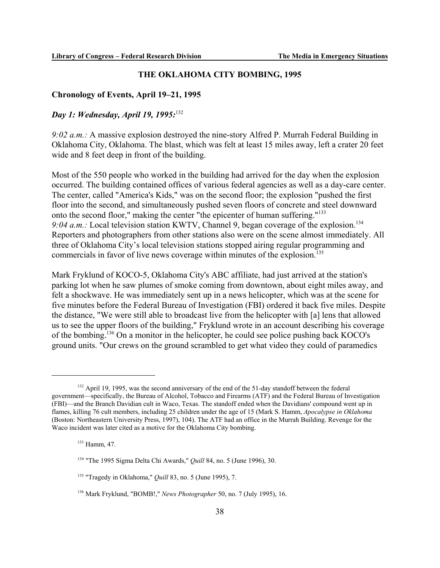### **THE OKLAHOMA CITY BOMBING, 1995**

### **Chronology of Events, April 19–21, 1995**

### *Day 1: Wednesday, April 19, 1995:*<sup>132</sup>

*9:02 a.m.:* A massive explosion destroyed the nine-story Alfred P. Murrah Federal Building in Oklahoma City, Oklahoma. The blast, which was felt at least 15 miles away, left a crater 20 feet wide and 8 feet deep in front of the building.

Most of the 550 people who worked in the building had arrived for the day when the explosion occurred. The building contained offices of various federal agencies as well as a day-care center. The center, called "America's Kids," was on the second floor; the explosion "pushed the first floor into the second, and simultaneously pushed seven floors of concrete and steel downward onto the second floor," making the center "the epicenter of human suffering."133 9:04 a.m.: Local television station KWTV, Channel 9, began coverage of the explosion.<sup>134</sup> Reporters and photographers from other stations also were on the scene almost immediately. All three of Oklahoma City's local television stations stopped airing regular programming and commercials in favor of live news coverage within minutes of the explosion.<sup>135</sup>

Mark Fryklund of KOCO-5, Oklahoma City's ABC affiliate, had just arrived at the station's parking lot when he saw plumes of smoke coming from downtown, about eight miles away, and felt a shockwave. He was immediately sent up in a news helicopter, which was at the scene for five minutes before the Federal Bureau of Investigation (FBI) ordered it back five miles. Despite the distance, "We were still able to broadcast live from the helicopter with [a] lens that allowed us to see the upper floors of the building," Fryklund wrote in an account describing his coverage of the bombing.136 On a monitor in the helicopter, he could see police pushing back KOCO's ground units. "Our crews on the ground scrambled to get what video they could of paramedics

<sup>&</sup>lt;sup>132</sup> April 19, 1995, was the second anniversary of the end of the 51-day standoff between the federal government—specifically, the Bureau of Alcohol, Tobacco and Firearms (ATF) and the Federal Bureau of Investigation (FBI)—and the Branch Davidian cult in Waco, Texas. The standoff ended when the Davidians' compound went up in flames, killing 76 cult members, including 25 children under the age of 15 (Mark S. Hamm, *Apocalypse in Oklahoma* (Boston: Northeastern University Press, 1997), 104). The ATF had an office in the Murrah Building. Revenge for the Waco incident was later cited as a motive for the Oklahoma City bombing.

<sup>133</sup> Hamm, 47.

<sup>134 &</sup>quot;The 1995 Sigma Delta Chi Awards," *Quill* 84, no. 5 (June 1996), 30.

<sup>135 &</sup>quot;Tragedy in Oklahoma," *Quill* 83, no. 5 (June 1995), 7.

<sup>136</sup> Mark Fryklund, "BOMB!," *News Photographer* 50, no. 7 (July 1995), 16.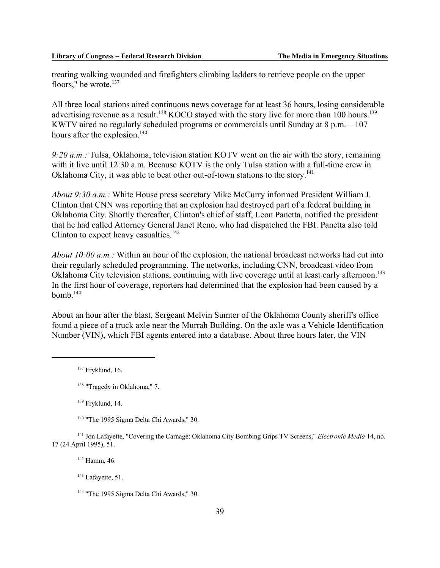treating walking wounded and firefighters climbing ladders to retrieve people on the upper floors," he wrote.<sup>137</sup>

All three local stations aired continuous news coverage for at least 36 hours, losing considerable advertising revenue as a result.<sup>138</sup> KOCO stayed with the story live for more than 100 hours.<sup>139</sup> KWTV aired no regularly scheduled programs or commercials until Sunday at 8 p.m.—107 hours after the explosion. $140$ 

*9:20 a.m.:* Tulsa, Oklahoma, television station KOTV went on the air with the story, remaining with it live until 12:30 a.m. Because KOTV is the only Tulsa station with a full-time crew in Oklahoma City, it was able to beat other out-of-town stations to the story.<sup>141</sup>

*About 9:30 a.m.:* White House press secretary Mike McCurry informed President William J. Clinton that CNN was reporting that an explosion had destroyed part of a federal building in Oklahoma City. Shortly thereafter, Clinton's chief of staff, Leon Panetta, notified the president that he had called Attorney General Janet Reno, who had dispatched the FBI. Panetta also told Clinton to expect heavy casualties. $142$ 

*About 10:00 a.m.:* Within an hour of the explosion, the national broadcast networks had cut into their regularly scheduled programming. The networks, including CNN, broadcast video from Oklahoma City television stations, continuing with live coverage until at least early afternoon.<sup>143</sup> In the first hour of coverage, reporters had determined that the explosion had been caused by a  $bomb.<sup>144</sup>$ 

About an hour after the blast, Sergeant Melvin Sumter of the Oklahoma County sheriff's office found a piece of a truck axle near the Murrah Building. On the axle was a Vehicle Identification Number (VIN), which FBI agents entered into a database. About three hours later, the VIN

139 Fryklund, 14.

<sup>140</sup> "The 1995 Sigma Delta Chi Awards," 30.

141 Jon Lafayette, "Covering the Carnage: Oklahoma City Bombing Grips TV Screens," *Electronic Media* 14, no. 17 (24 April 1995), 51.

142 Hamm, 46.

<sup>143</sup> Lafayette, 51.

<sup>137</sup> Fryklund, 16.

<sup>138 &</sup>quot;Tragedy in Oklahoma," 7.

<sup>&</sup>lt;sup>144</sup> "The 1995 Sigma Delta Chi Awards," 30.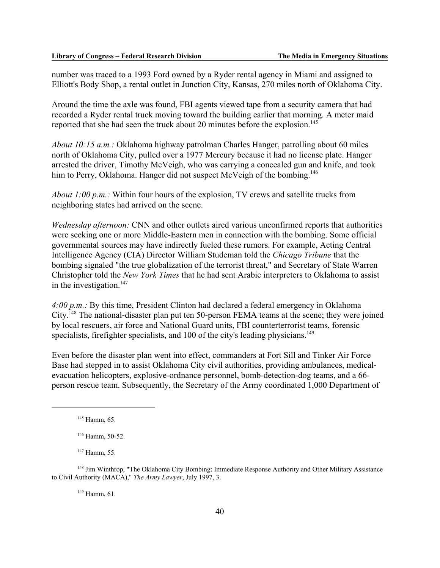number was traced to a 1993 Ford owned by a Ryder rental agency in Miami and assigned to Elliott's Body Shop, a rental outlet in Junction City, Kansas, 270 miles north of Oklahoma City.

Around the time the axle was found, FBI agents viewed tape from a security camera that had recorded a Ryder rental truck moving toward the building earlier that morning. A meter maid reported that she had seen the truck about 20 minutes before the explosion.<sup>145</sup>

*About 10:15 a.m.:* Oklahoma highway patrolman Charles Hanger, patrolling about 60 miles north of Oklahoma City, pulled over a 1977 Mercury because it had no license plate. Hanger arrested the driver, Timothy McVeigh, who was carrying a concealed gun and knife, and took him to Perry, Oklahoma. Hanger did not suspect McVeigh of the bombing.<sup>146</sup>

*About 1:00 p.m.:* Within four hours of the explosion, TV crews and satellite trucks from neighboring states had arrived on the scene.

*Wednesday afternoon:* CNN and other outlets aired various unconfirmed reports that authorities were seeking one or more Middle-Eastern men in connection with the bombing. Some official governmental sources may have indirectly fueled these rumors. For example, Acting Central Intelligence Agency (CIA) Director William Studeman told the *Chicago Tribune* that the bombing signaled "the true globalization of the terrorist threat," and Secretary of State Warren Christopher told the *New York Times* that he had sent Arabic interpreters to Oklahoma to assist in the investigation. $147$ 

*4:00 p.m.:* By this time, President Clinton had declared a federal emergency in Oklahoma City.148 The national-disaster plan put ten 50-person FEMA teams at the scene; they were joined by local rescuers, air force and National Guard units, FBI counterterrorist teams, forensic specialists, firefighter specialists, and 100 of the city's leading physicians.<sup>149</sup>

Even before the disaster plan went into effect, commanders at Fort Sill and Tinker Air Force Base had stepped in to assist Oklahoma City civil authorities, providing ambulances, medicalevacuation helicopters, explosive-ordnance personnel, bomb-detection-dog teams, and a 66 person rescue team. Subsequently, the Secretary of the Army coordinated 1,000 Department of

 $149$  Hamm, 61.

 $145$  Hamm, 65.

<sup>146</sup> Hamm, 50-52.

<sup>&</sup>lt;sup>147</sup> Hamm, 55.

<sup>&</sup>lt;sup>148</sup> Jim Winthrop, "The Oklahoma City Bombing: Immediate Response Authority and Other Military Assistance to Civil Authority (MACA)," *The Army Lawyer*, July 1997, 3.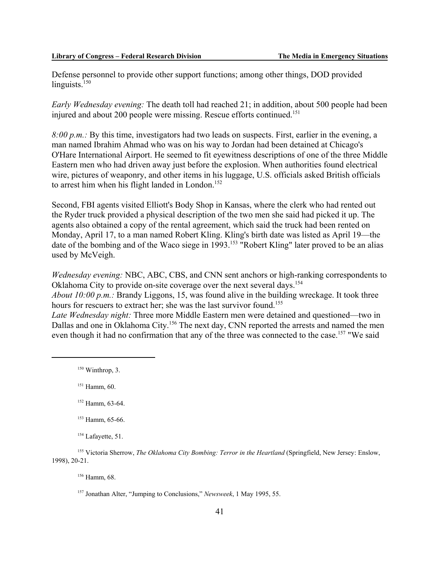Defense personnel to provide other support functions; among other things, DOD provided linguists. $150$ 

*Early Wednesday evening:* The death toll had reached 21; in addition, about 500 people had been injured and about 200 people were missing. Rescue efforts continued.<sup>151</sup>

*8:00 p.m.:* By this time, investigators had two leads on suspects. First, earlier in the evening, a man named Ibrahim Ahmad who was on his way to Jordan had been detained at Chicago's O'Hare International Airport. He seemed to fit eyewitness descriptions of one of the three Middle Eastern men who had driven away just before the explosion. When authorities found electrical wire, pictures of weaponry, and other items in his luggage, U.S. officials asked British officials to arrest him when his flight landed in London.<sup>152</sup>

Second, FBI agents visited Elliott's Body Shop in Kansas, where the clerk who had rented out the Ryder truck provided a physical description of the two men she said had picked it up. The agents also obtained a copy of the rental agreement, which said the truck had been rented on Monday, April 17, to a man named Robert Kling. Kling's birth date was listed as April 19—the date of the bombing and of the Waco siege in 1993.153 "Robert Kling" later proved to be an alias used by McVeigh.

*Wednesday evening:* NBC, ABC, CBS, and CNN sent anchors or high-ranking correspondents to Oklahoma City to provide on-site coverage over the next several days.<sup>154</sup>

*About 10:00 p.m.:* Brandy Liggons, 15, was found alive in the building wreckage. It took three hours for rescuers to extract her; she was the last survivor found.<sup>155</sup>

*Late Wednesday night:* Three more Middle Eastern men were detained and questioned—two in Dallas and one in Oklahoma City.<sup>156</sup> The next day, CNN reported the arrests and named the men even though it had no confirmation that any of the three was connected to the case.<sup>157</sup> "We said

150 Winthrop, 3.

151 Hamm, 60.

152 Hamm, 63-64.

156 Hamm, 68.

<sup>&</sup>lt;sup>153</sup> Hamm, 65-66.

<sup>&</sup>lt;sup>154</sup> Lafayette, 51.

<sup>155</sup> Victoria Sherrow, *The Oklahoma City Bombing: Terror in the Heartland* (Springfield, New Jersey: Enslow, 1998), 20-21.

<sup>157</sup> Jonathan Alter, "Jumping to Conclusions," *Newsweek*, 1 May 1995, 55.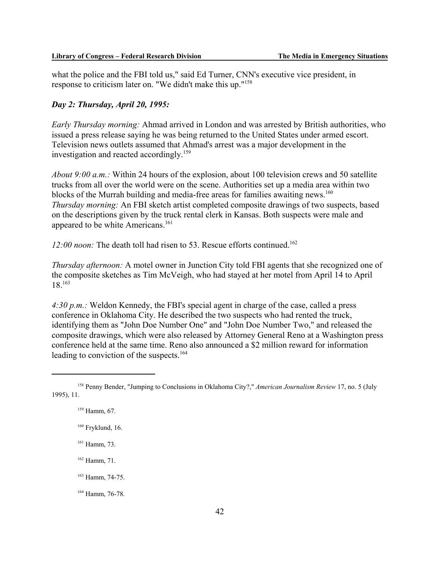what the police and the FBI told us," said Ed Turner, CNN's executive vice president, in response to criticism later on. "We didn't make this up."158

### *Day 2: Thursday, April 20, 1995:*

*Early Thursday morning:* Ahmad arrived in London and was arrested by British authorities, who issued a press release saying he was being returned to the United States under armed escort. Television news outlets assumed that Ahmad's arrest was a major development in the investigation and reacted accordingly.159

*About 9:00 a.m.:* Within 24 hours of the explosion, about 100 television crews and 50 satellite trucks from all over the world were on the scene. Authorities set up a media area within two blocks of the Murrah building and media-free areas for families awaiting news.<sup>160</sup> *Thursday morning:* An FBI sketch artist completed composite drawings of two suspects, based on the descriptions given by the truck rental clerk in Kansas. Both suspects were male and appeared to be white Americans.<sup>161</sup>

*12:00 noon:* The death toll had risen to 53. Rescue efforts continued.<sup>162</sup>

*Thursday afternoon:* A motel owner in Junction City told FBI agents that she recognized one of the composite sketches as Tim McVeigh, who had stayed at her motel from April 14 to April 18.163

*4:30 p.m.:* Weldon Kennedy, the FBI's special agent in charge of the case, called a press conference in Oklahoma City. He described the two suspects who had rented the truck, identifying them as "John Doe Number One" and "John Doe Number Two," and released the composite drawings, which were also released by Attorney General Reno at a Washington press conference held at the same time. Reno also announced a \$2 million reward for information leading to conviction of the suspects.<sup>164</sup>

161 Hamm, 73.

162 Hamm, 71.

163 Hamm, 74-75.

164 Hamm, 76-78.

<sup>158</sup> Penny Bender, "Jumping to Conclusions in Oklahoma City?," *American Journalism Review* 17, no. 5 (July 1995), 11.

 $159$  Hamm, 67.

 $160$  Fryklund, 16.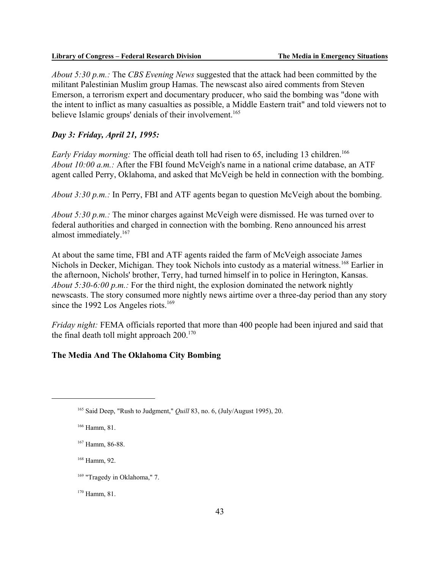*About 5:30 p.m.:* The *CBS Evening News* suggested that the attack had been committed by the militant Palestinian Muslim group Hamas. The newscast also aired comments from Steven Emerson, a terrorism expert and documentary producer, who said the bombing was "done with the intent to inflict as many casualties as possible, a Middle Eastern trait" and told viewers not to believe Islamic groups' denials of their involvement.<sup>165</sup>

### *Day 3: Friday, April 21, 1995:*

*Early Friday morning:* The official death toll had risen to 65, including 13 children.<sup>166</sup> *About 10:00 a.m.:* After the FBI found McVeigh's name in a national crime database, an ATF agent called Perry, Oklahoma, and asked that McVeigh be held in connection with the bombing.

*About 3:30 p.m.:* In Perry, FBI and ATF agents began to question McVeigh about the bombing.

*About 5:30 p.m.:* The minor charges against McVeigh were dismissed. He was turned over to federal authorities and charged in connection with the bombing. Reno announced his arrest almost immediately.<sup>167</sup>

At about the same time, FBI and ATF agents raided the farm of McVeigh associate James Nichols in Decker, Michigan. They took Nichols into custody as a material witness.<sup>168</sup> Earlier in the afternoon, Nichols' brother, Terry, had turned himself in to police in Herington, Kansas. *About 5:30-6:00 p.m.:* For the third night, the explosion dominated the network nightly newscasts. The story consumed more nightly news airtime over a three-day period than any story since the 1992 Los Angeles riots.<sup>169</sup>

*Friday night:* FEMA officials reported that more than 400 people had been injured and said that the final death toll might approach  $200^{170}$ 

### **The Media And The Oklahoma City Bombing**

168 Hamm, 92.

170 Hamm, 81.

<sup>165</sup> Said Deep, "Rush to Judgment," *Quill* 83, no. 6, (July/August 1995), 20.

<sup>166</sup> Hamm, 81.

<sup>167</sup> Hamm, 86-88.

<sup>&</sup>lt;sup>169</sup> "Tragedy in Oklahoma," 7.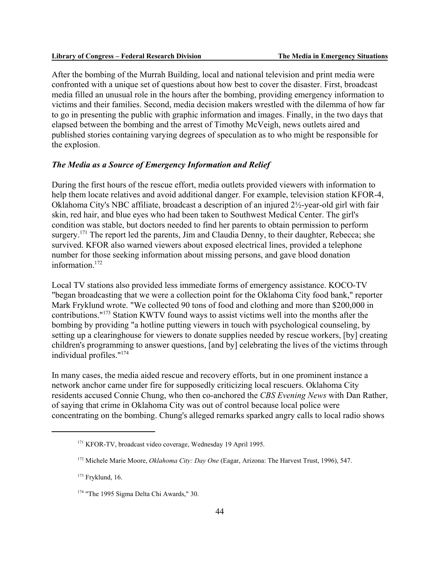After the bombing of the Murrah Building, local and national television and print media were confronted with a unique set of questions about how best to cover the disaster. First, broadcast media filled an unusual role in the hours after the bombing, providing emergency information to victims and their families. Second, media decision makers wrestled with the dilemma of how far to go in presenting the public with graphic information and images. Finally, in the two days that elapsed between the bombing and the arrest of Timothy McVeigh, news outlets aired and published stories containing varying degrees of speculation as to who might be responsible for the explosion.

#### *The Media as a Source of Emergency Information and Relief*

During the first hours of the rescue effort, media outlets provided viewers with information to help them locate relatives and avoid additional danger. For example, television station KFOR-4, Oklahoma City's NBC affiliate, broadcast a description of an injured 2½-year-old girl with fair skin, red hair, and blue eyes who had been taken to Southwest Medical Center. The girl's condition was stable, but doctors needed to find her parents to obtain permission to perform surgery.<sup>171</sup> The report led the parents, Jim and Claudia Denny, to their daughter, Rebecca; she survived. KFOR also warned viewers about exposed electrical lines, provided a telephone number for those seeking information about missing persons, and gave blood donation information.172

Local TV stations also provided less immediate forms of emergency assistance. KOCO-TV "began broadcasting that we were a collection point for the Oklahoma City food bank," reporter Mark Fryklund wrote. "We collected 90 tons of food and clothing and more than \$200,000 in contributions."173 Station KWTV found ways to assist victims well into the months after the bombing by providing "a hotline putting viewers in touch with psychological counseling, by setting up a clearinghouse for viewers to donate supplies needed by rescue workers, [by] creating children's programming to answer questions, [and by] celebrating the lives of the victims through individual profiles."174

In many cases, the media aided rescue and recovery efforts, but in one prominent instance a network anchor came under fire for supposedly criticizing local rescuers. Oklahoma City residents accused Connie Chung, who then co-anchored the *CBS Evening News* with Dan Rather, of saying that crime in Oklahoma City was out of control because local police were concentrating on the bombing. Chung's alleged remarks sparked angry calls to local radio shows

<sup>171</sup> KFOR-TV, broadcast video coverage, Wednesday 19 April 1995.

<sup>172</sup> Michele Marie Moore, *Oklahoma City: Day One* (Eagar, Arizona: The Harvest Trust, 1996), 547.

 $173$  Fryklund, 16.

<sup>&</sup>lt;sup>174</sup> "The 1995 Sigma Delta Chi Awards," 30.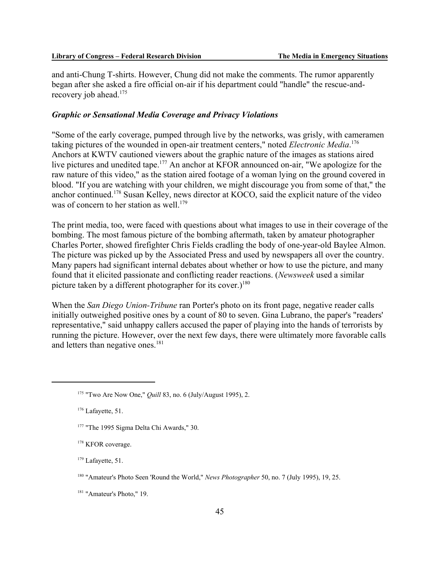and anti-Chung T-shirts. However, Chung did not make the comments. The rumor apparently began after she asked a fire official on-air if his department could "handle" the rescue-andrecovery job ahead.<sup>175</sup>

### *Graphic or Sensational Media Coverage and Privacy Violations*

"Some of the early coverage, pumped through live by the networks, was grisly, with cameramen taking pictures of the wounded in open-air treatment centers," noted *Electronic Media*. 176 Anchors at KWTV cautioned viewers about the graphic nature of the images as stations aired live pictures and unedited tape.<sup>177</sup> An anchor at KFOR announced on-air, "We apologize for the raw nature of this video," as the station aired footage of a woman lying on the ground covered in blood. "If you are watching with your children, we might discourage you from some of that," the anchor continued.178 Susan Kelley, news director at KOCO, said the explicit nature of the video was of concern to her station as well.<sup>179</sup>

The print media, too, were faced with questions about what images to use in their coverage of the bombing. The most famous picture of the bombing aftermath, taken by amateur photographer Charles Porter, showed firefighter Chris Fields cradling the body of one-year-old Baylee Almon. The picture was picked up by the Associated Press and used by newspapers all over the country. Many papers had significant internal debates about whether or how to use the picture, and many found that it elicited passionate and conflicting reader reactions. (*Newsweek* used a similar picture taken by a different photographer for its cover.)<sup>180</sup>

When the *San Diego Union-Tribune* ran Porter's photo on its front page, negative reader calls initially outweighed positive ones by a count of 80 to seven. Gina Lubrano, the paper's "readers' representative," said unhappy callers accused the paper of playing into the hands of terrorists by running the picture. However, over the next few days, there were ultimately more favorable calls and letters than negative ones.<sup>181</sup>

<sup>179</sup> Lafayette, 51.

<sup>&</sup>lt;sup>175</sup> "Two Are Now One," *Quill* 83, no. 6 (July/August 1995), 2.

<sup>&</sup>lt;sup>176</sup> Lafayette, 51.

<sup>&</sup>lt;sup>177</sup> "The 1995 Sigma Delta Chi Awards," 30.

<sup>&</sup>lt;sup>178</sup> KFOR coverage.

<sup>180 &</sup>quot;Amateur's Photo Seen 'Round the World," *News Photographer* 50, no. 7 (July 1995), 19, 25.

<sup>181 &</sup>quot;Amateur's Photo," 19.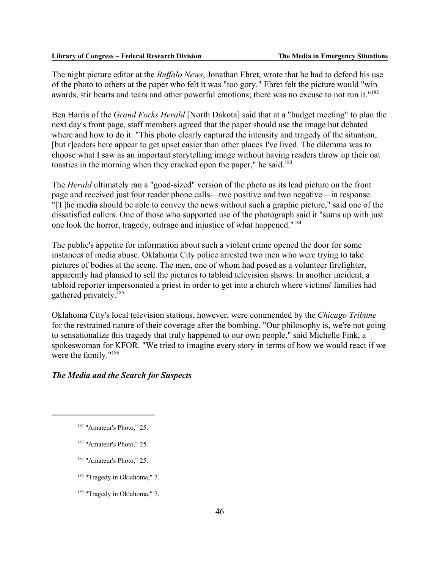The night picture editor at the *Buffalo News*, Jonathan Ehret, wrote that he had to defend his use of the photo to others at the paper who felt it was "too gory." Ehret felt the picture would "win awards, stir hearts and tears and other powerful emotions; there was no excuse to not run it."<sup>182</sup>

Ben Harris of the *Grand Forks Herald* [North Dakota] said that at a "budget meeting" to plan the next day's front page, staff members agreed that the paper should use the image but debated where and how to do it. "This photo clearly captured the intensity and tragedy of the situation, [but r]eaders here appear to get upset easier than other places I've lived. The dilemma was to choose what I saw as an important storytelling image without having readers throw up their oat toasties in the morning when they cracked open the paper," he said.<sup>183</sup>

The *Herald* ultimately ran a "good-sized" version of the photo as its lead picture on the front page and received just four reader phone calls—two positive and two negative—in response. "[T]he media should be able to convey the news without such a graphic picture," said one of the dissatisfied callers. One of those who supported use of the photograph said it "sums up with just one look the horror, tragedy, outrage and injustice of what happened."184

The public's appetite for information about such a violent crime opened the door for some instances of media abuse. Oklahoma City police arrested two men who were trying to take pictures of bodies at the scene. The men, one of whom had posed as a volunteer firefighter, apparently had planned to sell the pictures to tabloid television shows. In another incident, a tabloid reporter impersonated a priest in order to get into a church where victims' families had gathered privately.185

Oklahoma City's local television stations, however, were commended by the *Chicago Tribune* for the restrained nature of their coverage after the bombing. "Our philosophy is, we're not going to sensationalize this tragedy that truly happened to our own people," said Michelle Fink, a spokeswoman for KFOR. "We tried to imagine every story in terms of how we would react if we were the family."186

### *The Media and the Search for Suspects*

- <sup>183</sup> "Amateur's Photo," 25.
- 184 "Amateur's Photo," 25.

<sup>185</sup> "Tragedy in Oklahoma," 7.

<sup>186</sup> "Tragedy in Oklahoma," 7.

<sup>182 &</sup>quot;Amateur's Photo," 25.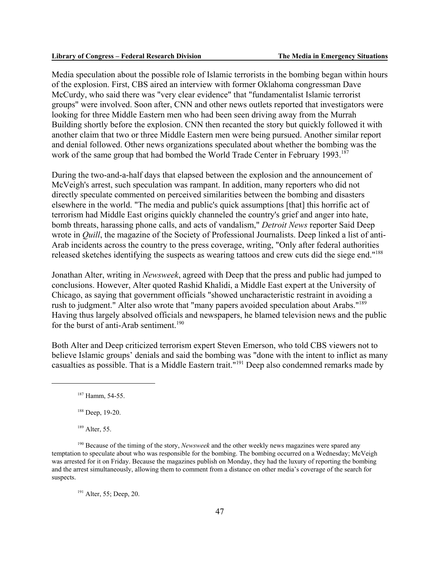Media speculation about the possible role of Islamic terrorists in the bombing began within hours of the explosion. First, CBS aired an interview with former Oklahoma congressman Dave McCurdy, who said there was "very clear evidence" that "fundamentalist Islamic terrorist groups" were involved. Soon after, CNN and other news outlets reported that investigators were looking for three Middle Eastern men who had been seen driving away from the Murrah Building shortly before the explosion. CNN then recanted the story but quickly followed it with another claim that two or three Middle Eastern men were being pursued. Another similar report and denial followed. Other news organizations speculated about whether the bombing was the work of the same group that had bombed the World Trade Center in February 1993.<sup>187</sup>

During the two-and-a-half days that elapsed between the explosion and the announcement of McVeigh's arrest, such speculation was rampant. In addition, many reporters who did not directly speculate commented on perceived similarities between the bombing and disasters elsewhere in the world. "The media and public's quick assumptions [that] this horrific act of terrorism had Middle East origins quickly channeled the country's grief and anger into hate, bomb threats, harassing phone calls, and acts of vandalism," *Detroit News* reporter Said Deep wrote in *Quill*, the magazine of the Society of Professional Journalists. Deep linked a list of anti-Arab incidents across the country to the press coverage, writing, "Only after federal authorities released sketches identifying the suspects as wearing tattoos and crew cuts did the siege end."188

Jonathan Alter, writing in *Newsweek*, agreed with Deep that the press and public had jumped to conclusions. However, Alter quoted Rashid Khalidi, a Middle East expert at the University of Chicago, as saying that government officials "showed uncharacteristic restraint in avoiding a rush to judgment." Alter also wrote that "many papers avoided speculation about Arabs."189 Having thus largely absolved officials and newspapers, he blamed television news and the public for the burst of anti-Arab sentiment.<sup>190</sup>

Both Alter and Deep criticized terrorism expert Steven Emerson, who told CBS viewers not to believe Islamic groups' denials and said the bombing was "done with the intent to inflict as many casualties as possible. That is a Middle Eastern trait."191 Deep also condemned remarks made by

189 Alter, 55.

<sup>191</sup> Alter, 55; Deep, 20.

<sup>187</sup> Hamm, 54-55.

<sup>&</sup>lt;sup>188</sup> Deep, 19-20.

<sup>190</sup> Because of the timing of the story, *Newsweek* and the other weekly news magazines were spared any temptation to speculate about who was responsible for the bombing. The bombing occurred on a Wednesday; McVeigh was arrested for it on Friday. Because the magazines publish on Monday, they had the luxury of reporting the bombing and the arrest simultaneously, allowing them to comment from a distance on other media's coverage of the search for suspects.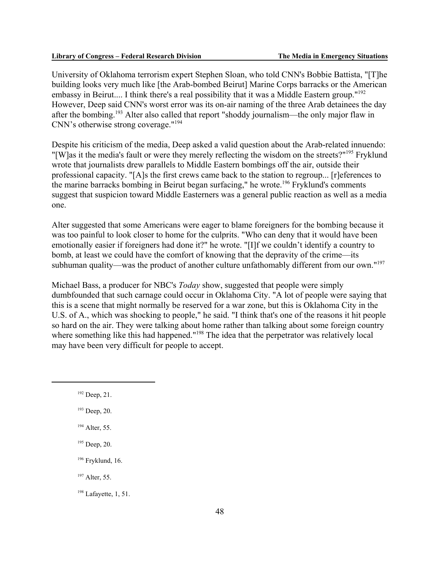University of Oklahoma terrorism expert Stephen Sloan, who told CNN's Bobbie Battista, "[T]he building looks very much like [the Arab-bombed Beirut] Marine Corps barracks or the American embassy in Beirut.... I think there's a real possibility that it was a Middle Eastern group."<sup>192</sup> However, Deep said CNN's worst error was its on-air naming of the three Arab detainees the day after the bombing.193 Alter also called that report "shoddy journalism—the only major flaw in CNN's otherwise strong coverage."194

Despite his criticism of the media, Deep asked a valid question about the Arab-related innuendo: "[W]as it the media's fault or were they merely reflecting the wisdom on the streets?"195 Fryklund wrote that journalists drew parallels to Middle Eastern bombings off the air, outside their professional capacity. "[A]s the first crews came back to the station to regroup... [r]eferences to the marine barracks bombing in Beirut began surfacing," he wrote.<sup>196</sup> Fryklund's comments suggest that suspicion toward Middle Easterners was a general public reaction as well as a media one.

Alter suggested that some Americans were eager to blame foreigners for the bombing because it was too painful to look closer to home for the culprits. "Who can deny that it would have been emotionally easier if foreigners had done it?" he wrote. "[I]f we couldn't identify a country to bomb, at least we could have the comfort of knowing that the depravity of the crime—its subhuman quality—was the product of another culture unfathomably different from our own."<sup>197</sup>

Michael Bass, a producer for NBC's *Today* show, suggested that people were simply dumbfounded that such carnage could occur in Oklahoma City. "A lot of people were saying that this is a scene that might normally be reserved for a war zone, but this is Oklahoma City in the U.S. of A., which was shocking to people," he said. "I think that's one of the reasons it hit people so hard on the air. They were talking about home rather than talking about some foreign country where something like this had happened."<sup>198</sup> The idea that the perpetrator was relatively local may have been very difficult for people to accept.

<sup>192</sup> Deep, 21.

<sup>193</sup> Deep, 20.

<sup>194</sup> Alter, 55.

<sup>&</sup>lt;sup>195</sup> Deep, 20.

<sup>196</sup> Fryklund, 16.

<sup>&</sup>lt;sup>197</sup> Alter, 55.

 $198$  Lafayette, 1, 51.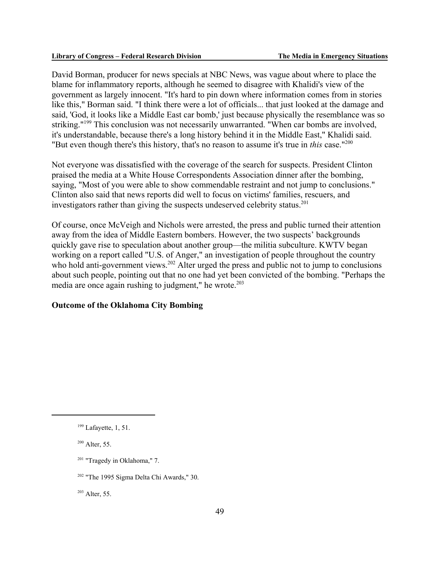David Borman, producer for news specials at NBC News, was vague about where to place the blame for inflammatory reports, although he seemed to disagree with Khalidi's view of the government as largely innocent. "It's hard to pin down where information comes from in stories like this," Borman said. "I think there were a lot of officials... that just looked at the damage and said, 'God, it looks like a Middle East car bomb,' just because physically the resemblance was so striking."<sup>199</sup> This conclusion was not necessarily unwarranted. "When car bombs are involved, it's understandable, because there's a long history behind it in the Middle East," Khalidi said. "But even though there's this history, that's no reason to assume it's true in *this* case."200

Not everyone was dissatisfied with the coverage of the search for suspects. President Clinton praised the media at a White House Correspondents Association dinner after the bombing, saying, "Most of you were able to show commendable restraint and not jump to conclusions." Clinton also said that news reports did well to focus on victims' families, rescuers, and investigators rather than giving the suspects undeserved celebrity status.<sup>201</sup>

Of course, once McVeigh and Nichols were arrested, the press and public turned their attention away from the idea of Middle Eastern bombers. However, the two suspects' backgrounds quickly gave rise to speculation about another group—the militia subculture. KWTV began working on a report called "U.S. of Anger," an investigation of people throughout the country who hold anti-government views.<sup>202</sup> Alter urged the press and public not to jump to conclusions about such people, pointing out that no one had yet been convicted of the bombing. "Perhaps the media are once again rushing to judgment," he wrote. $203$ 

### **Outcome of the Oklahoma City Bombing**

 $200$  Alter, 55.

 $203$  Alter, 55.

 $199$  Lafayette, 1, 51.

<sup>201 &</sup>quot;Tragedy in Oklahoma," 7.

<sup>202 &</sup>quot;The 1995 Sigma Delta Chi Awards," 30.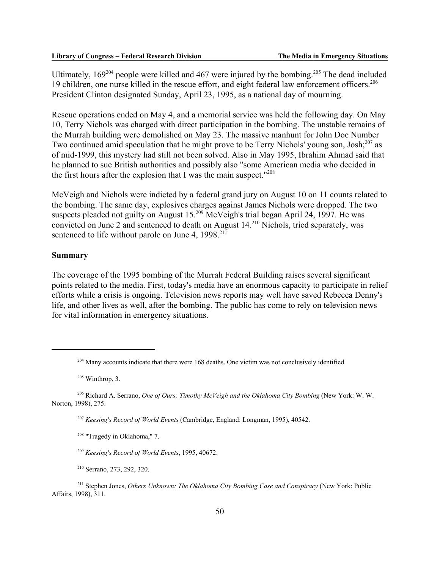Ultimately,  $169^{204}$  people were killed and 467 were injured by the bombing.<sup>205</sup> The dead included 19 children, one nurse killed in the rescue effort, and eight federal law enforcement officers.<sup>206</sup> President Clinton designated Sunday, April 23, 1995, as a national day of mourning.

Rescue operations ended on May 4, and a memorial service was held the following day. On May 10, Terry Nichols was charged with direct participation in the bombing. The unstable remains of the Murrah building were demolished on May 23. The massive manhunt for John Doe Number Two continued amid speculation that he might prove to be Terry Nichols' young son, Josh;<sup>207</sup> as of mid-1999, this mystery had still not been solved. Also in May 1995, Ibrahim Ahmad said that he planned to sue British authorities and possibly also "some American media who decided in the first hours after the explosion that I was the main suspect."208

McVeigh and Nichols were indicted by a federal grand jury on August 10 on 11 counts related to the bombing. The same day, explosives charges against James Nichols were dropped. The two suspects pleaded not guilty on August 15.<sup>209</sup> McVeigh's trial began April 24, 1997. He was convicted on June 2 and sentenced to death on August 14.210 Nichols, tried separately, was sentenced to life without parole on June 4,  $1998.<sup>211</sup>$ 

#### **Summary**

The coverage of the 1995 bombing of the Murrah Federal Building raises several significant points related to the media. First, today's media have an enormous capacity to participate in relief efforts while a crisis is ongoing. Television news reports may well have saved Rebecca Denny's life, and other lives as well, after the bombing. The public has come to rely on television news for vital information in emergency situations.

205 Winthrop, 3.

208 "Tragedy in Oklahoma," 7.

<sup>209</sup> *Keesing's Record of World Events*, 1995, 40672.

210 Serrano, 273, 292, 320.

211 Stephen Jones, *Others Unknown: The Oklahoma City Bombing Case and Conspiracy* (New York: Public Affairs, 1998), 311.

<sup>&</sup>lt;sup>204</sup> Many accounts indicate that there were 168 deaths. One victim was not conclusively identified.

<sup>206</sup> Richard A. Serrano, *One of Ours: Timothy McVeigh and the Oklahoma City Bombing* (New York: W. W. Norton, 1998), 275.

<sup>207</sup> *Keesing's Record of World Events* (Cambridge, England: Longman, 1995), 40542.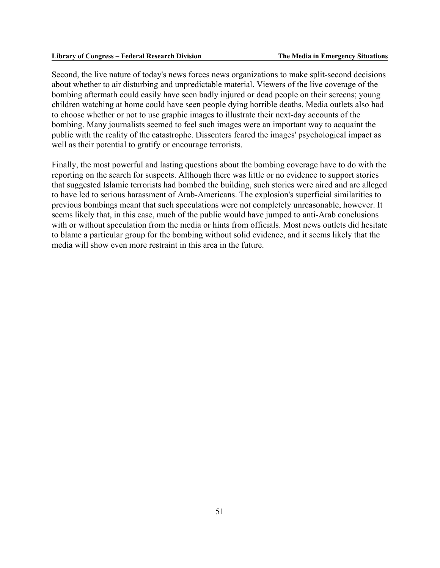Second, the live nature of today's news forces news organizations to make split-second decisions about whether to air disturbing and unpredictable material. Viewers of the live coverage of the bombing aftermath could easily have seen badly injured or dead people on their screens; young children watching at home could have seen people dying horrible deaths. Media outlets also had to choose whether or not to use graphic images to illustrate their next-day accounts of the bombing. Many journalists seemed to feel such images were an important way to acquaint the public with the reality of the catastrophe. Dissenters feared the images' psychological impact as well as their potential to gratify or encourage terrorists.

Finally, the most powerful and lasting questions about the bombing coverage have to do with the reporting on the search for suspects. Although there was little or no evidence to support stories that suggested Islamic terrorists had bombed the building, such stories were aired and are alleged to have led to serious harassment of Arab-Americans. The explosion's superficial similarities to previous bombings meant that such speculations were not completely unreasonable, however. It seems likely that, in this case, much of the public would have jumped to anti-Arab conclusions with or without speculation from the media or hints from officials. Most news outlets did hesitate to blame a particular group for the bombing without solid evidence, and it seems likely that the media will show even more restraint in this area in the future.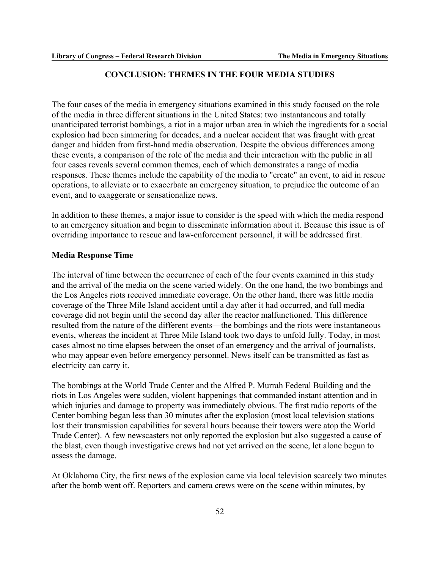### **CONCLUSION: THEMES IN THE FOUR MEDIA STUDIES**

The four cases of the media in emergency situations examined in this study focused on the role of the media in three different situations in the United States: two instantaneous and totally unanticipated terrorist bombings, a riot in a major urban area in which the ingredients for a social explosion had been simmering for decades, and a nuclear accident that was fraught with great danger and hidden from first-hand media observation. Despite the obvious differences among these events, a comparison of the role of the media and their interaction with the public in all four cases reveals several common themes, each of which demonstrates a range of media responses. These themes include the capability of the media to "create" an event, to aid in rescue operations, to alleviate or to exacerbate an emergency situation, to prejudice the outcome of an event, and to exaggerate or sensationalize news.

In addition to these themes, a major issue to consider is the speed with which the media respond to an emergency situation and begin to disseminate information about it. Because this issue is of overriding importance to rescue and law-enforcement personnel, it will be addressed first.

#### **Media Response Time**

The interval of time between the occurrence of each of the four events examined in this study and the arrival of the media on the scene varied widely. On the one hand, the two bombings and the Los Angeles riots received immediate coverage. On the other hand, there was little media coverage of the Three Mile Island accident until a day after it had occurred, and full media coverage did not begin until the second day after the reactor malfunctioned. This difference resulted from the nature of the different events—the bombings and the riots were instantaneous events, whereas the incident at Three Mile Island took two days to unfold fully. Today, in most cases almost no time elapses between the onset of an emergency and the arrival of journalists, who may appear even before emergency personnel. News itself can be transmitted as fast as electricity can carry it.

The bombings at the World Trade Center and the Alfred P. Murrah Federal Building and the riots in Los Angeles were sudden, violent happenings that commanded instant attention and in which injuries and damage to property was immediately obvious. The first radio reports of the Center bombing began less than 30 minutes after the explosion (most local television stations lost their transmission capabilities for several hours because their towers were atop the World Trade Center). A few newscasters not only reported the explosion but also suggested a cause of the blast, even though investigative crews had not yet arrived on the scene, let alone begun to assess the damage.

At Oklahoma City, the first news of the explosion came via local television scarcely two minutes after the bomb went off. Reporters and camera crews were on the scene within minutes, by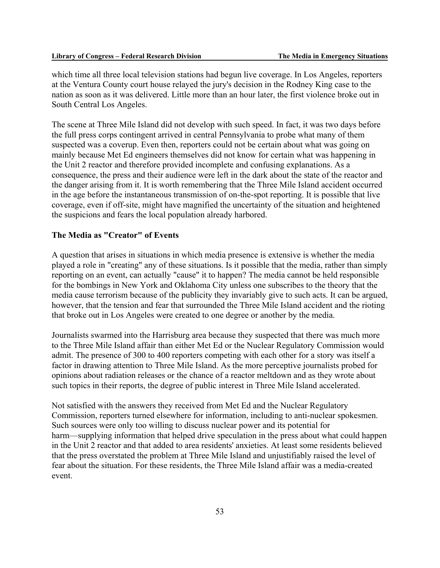which time all three local television stations had begun live coverage. In Los Angeles, reporters at the Ventura County court house relayed the jury's decision in the Rodney King case to the nation as soon as it was delivered. Little more than an hour later, the first violence broke out in South Central Los Angeles.

The scene at Three Mile Island did not develop with such speed. In fact, it was two days before the full press corps contingent arrived in central Pennsylvania to probe what many of them suspected was a coverup. Even then, reporters could not be certain about what was going on mainly because Met Ed engineers themselves did not know for certain what was happening in the Unit 2 reactor and therefore provided incomplete and confusing explanations. As a consequence, the press and their audience were left in the dark about the state of the reactor and the danger arising from it. It is worth remembering that the Three Mile Island accident occurred in the age before the instantaneous transmission of on-the-spot reporting. It is possible that live coverage, even if off-site, might have magnified the uncertainty of the situation and heightened the suspicions and fears the local population already harbored.

### **The Media as "Creator" of Events**

A question that arises in situations in which media presence is extensive is whether the media played a role in "creating" any of these situations. Is it possible that the media, rather than simply reporting on an event, can actually "cause" it to happen? The media cannot be held responsible for the bombings in New York and Oklahoma City unless one subscribes to the theory that the media cause terrorism because of the publicity they invariably give to such acts. It can be argued, however, that the tension and fear that surrounded the Three Mile Island accident and the rioting that broke out in Los Angeles were created to one degree or another by the media.

Journalists swarmed into the Harrisburg area because they suspected that there was much more to the Three Mile Island affair than either Met Ed or the Nuclear Regulatory Commission would admit. The presence of 300 to 400 reporters competing with each other for a story was itself a factor in drawing attention to Three Mile Island. As the more perceptive journalists probed for opinions about radiation releases or the chance of a reactor meltdown and as they wrote about such topics in their reports, the degree of public interest in Three Mile Island accelerated.

Not satisfied with the answers they received from Met Ed and the Nuclear Regulatory Commission, reporters turned elsewhere for information, including to anti-nuclear spokesmen. Such sources were only too willing to discuss nuclear power and its potential for harm—supplying information that helped drive speculation in the press about what could happen in the Unit 2 reactor and that added to area residents' anxieties. At least some residents believed that the press overstated the problem at Three Mile Island and unjustifiably raised the level of fear about the situation. For these residents, the Three Mile Island affair was a media-created event.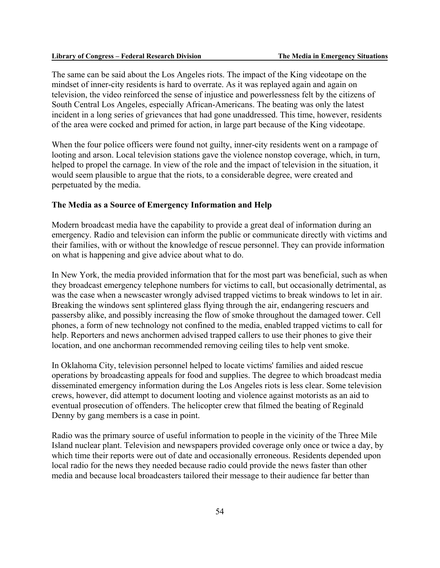The same can be said about the Los Angeles riots. The impact of the King videotape on the mindset of inner-city residents is hard to overrate. As it was replayed again and again on television, the video reinforced the sense of injustice and powerlessness felt by the citizens of South Central Los Angeles, especially African-Americans. The beating was only the latest incident in a long series of grievances that had gone unaddressed. This time, however, residents of the area were cocked and primed for action, in large part because of the King videotape.

When the four police officers were found not guilty, inner-city residents went on a rampage of looting and arson. Local television stations gave the violence nonstop coverage, which, in turn, helped to propel the carnage. In view of the role and the impact of television in the situation, it would seem plausible to argue that the riots, to a considerable degree, were created and perpetuated by the media.

#### **The Media as a Source of Emergency Information and Help**

Modern broadcast media have the capability to provide a great deal of information during an emergency. Radio and television can inform the public or communicate directly with victims and their families, with or without the knowledge of rescue personnel. They can provide information on what is happening and give advice about what to do.

In New York, the media provided information that for the most part was beneficial, such as when they broadcast emergency telephone numbers for victims to call, but occasionally detrimental, as was the case when a newscaster wrongly advised trapped victims to break windows to let in air. Breaking the windows sent splintered glass flying through the air, endangering rescuers and passersby alike, and possibly increasing the flow of smoke throughout the damaged tower. Cell phones, a form of new technology not confined to the media, enabled trapped victims to call for help. Reporters and news anchormen advised trapped callers to use their phones to give their location, and one anchorman recommended removing ceiling tiles to help vent smoke.

In Oklahoma City, television personnel helped to locate victims' families and aided rescue operations by broadcasting appeals for food and supplies. The degree to which broadcast media disseminated emergency information during the Los Angeles riots is less clear. Some television crews, however, did attempt to document looting and violence against motorists as an aid to eventual prosecution of offenders. The helicopter crew that filmed the beating of Reginald Denny by gang members is a case in point.

Radio was the primary source of useful information to people in the vicinity of the Three Mile Island nuclear plant. Television and newspapers provided coverage only once or twice a day, by which time their reports were out of date and occasionally erroneous. Residents depended upon local radio for the news they needed because radio could provide the news faster than other media and because local broadcasters tailored their message to their audience far better than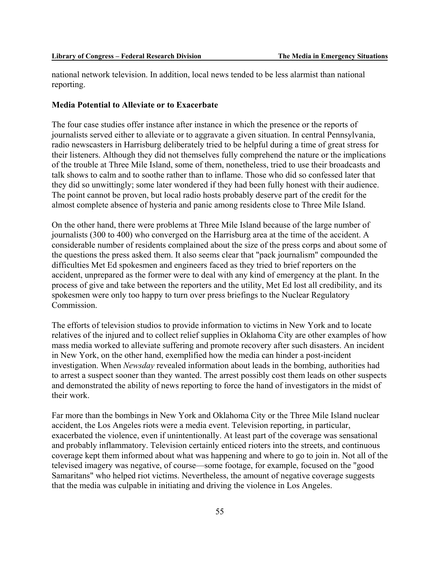national network television. In addition, local news tended to be less alarmist than national reporting.

#### **Media Potential to Alleviate or to Exacerbate**

The four case studies offer instance after instance in which the presence or the reports of journalists served either to alleviate or to aggravate a given situation. In central Pennsylvania, radio newscasters in Harrisburg deliberately tried to be helpful during a time of great stress for their listeners. Although they did not themselves fully comprehend the nature or the implications of the trouble at Three Mile Island, some of them, nonetheless, tried to use their broadcasts and talk shows to calm and to soothe rather than to inflame. Those who did so confessed later that they did so unwittingly; some later wondered if they had been fully honest with their audience. The point cannot be proven, but local radio hosts probably deserve part of the credit for the almost complete absence of hysteria and panic among residents close to Three Mile Island.

On the other hand, there were problems at Three Mile Island because of the large number of journalists (300 to 400) who converged on the Harrisburg area at the time of the accident. A considerable number of residents complained about the size of the press corps and about some of the questions the press asked them. It also seems clear that "pack journalism" compounded the difficulties Met Ed spokesmen and engineers faced as they tried to brief reporters on the accident, unprepared as the former were to deal with any kind of emergency at the plant. In the process of give and take between the reporters and the utility, Met Ed lost all credibility, and its spokesmen were only too happy to turn over press briefings to the Nuclear Regulatory Commission.

The efforts of television studios to provide information to victims in New York and to locate relatives of the injured and to collect relief supplies in Oklahoma City are other examples of how mass media worked to alleviate suffering and promote recovery after such disasters. An incident in New York, on the other hand, exemplified how the media can hinder a post-incident investigation. When *Newsday* revealed information about leads in the bombing, authorities had to arrest a suspect sooner than they wanted. The arrest possibly cost them leads on other suspects and demonstrated the ability of news reporting to force the hand of investigators in the midst of their work.

Far more than the bombings in New York and Oklahoma City or the Three Mile Island nuclear accident, the Los Angeles riots were a media event. Television reporting, in particular, exacerbated the violence, even if unintentionally. At least part of the coverage was sensational and probably inflammatory. Television certainly enticed rioters into the streets, and continuous coverage kept them informed about what was happening and where to go to join in. Not all of the televised imagery was negative, of course—some footage, for example, focused on the "good Samaritans" who helped riot victims. Nevertheless, the amount of negative coverage suggests that the media was culpable in initiating and driving the violence in Los Angeles.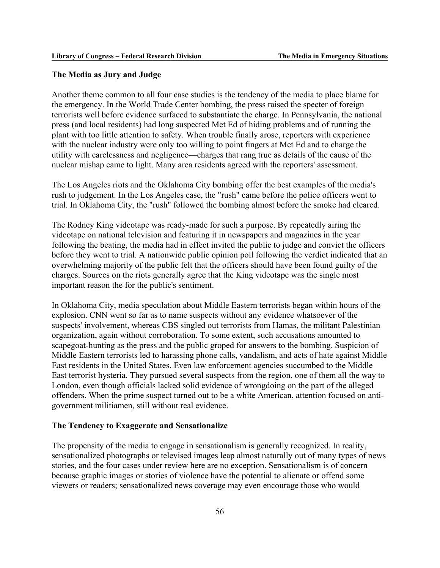### **The Media as Jury and Judge**

Another theme common to all four case studies is the tendency of the media to place blame for the emergency. In the World Trade Center bombing, the press raised the specter of foreign terrorists well before evidence surfaced to substantiate the charge. In Pennsylvania, the national press (and local residents) had long suspected Met Ed of hiding problems and of running the plant with too little attention to safety. When trouble finally arose, reporters with experience with the nuclear industry were only too willing to point fingers at Met Ed and to charge the utility with carelessness and negligence—charges that rang true as details of the cause of the nuclear mishap came to light. Many area residents agreed with the reporters' assessment.

The Los Angeles riots and the Oklahoma City bombing offer the best examples of the media's rush to judgement. In the Los Angeles case, the "rush" came before the police officers went to trial. In Oklahoma City, the "rush" followed the bombing almost before the smoke had cleared.

The Rodney King videotape was ready-made for such a purpose. By repeatedly airing the videotape on national television and featuring it in newspapers and magazines in the year following the beating, the media had in effect invited the public to judge and convict the officers before they went to trial. A nationwide public opinion poll following the verdict indicated that an overwhelming majority of the public felt that the officers should have been found guilty of the charges. Sources on the riots generally agree that the King videotape was the single most important reason the for the public's sentiment.

In Oklahoma City, media speculation about Middle Eastern terrorists began within hours of the explosion. CNN went so far as to name suspects without any evidence whatsoever of the suspects' involvement, whereas CBS singled out terrorists from Hamas, the militant Palestinian organization, again without corroboration. To some extent, such accusations amounted to scapegoat-hunting as the press and the public groped for answers to the bombing. Suspicion of Middle Eastern terrorists led to harassing phone calls, vandalism, and acts of hate against Middle East residents in the United States. Even law enforcement agencies succumbed to the Middle East terrorist hysteria. They pursued several suspects from the region, one of them all the way to London, even though officials lacked solid evidence of wrongdoing on the part of the alleged offenders. When the prime suspect turned out to be a white American, attention focused on antigovernment militiamen, still without real evidence.

### **The Tendency to Exaggerate and Sensationalize**

The propensity of the media to engage in sensationalism is generally recognized. In reality, sensationalized photographs or televised images leap almost naturally out of many types of news stories, and the four cases under review here are no exception. Sensationalism is of concern because graphic images or stories of violence have the potential to alienate or offend some viewers or readers; sensationalized news coverage may even encourage those who would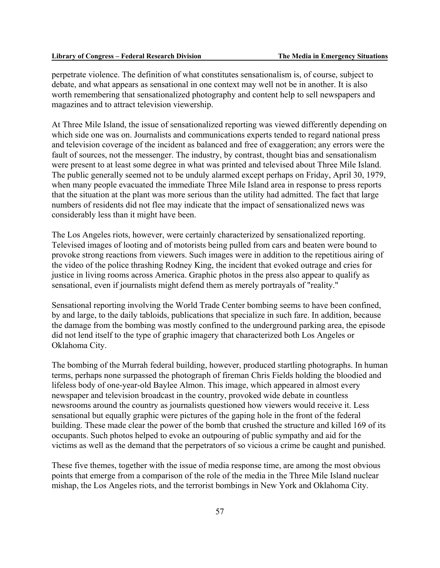perpetrate violence. The definition of what constitutes sensationalism is, of course, subject to debate, and what appears as sensational in one context may well not be in another. It is also worth remembering that sensationalized photography and content help to sell newspapers and magazines and to attract television viewership.

At Three Mile Island, the issue of sensationalized reporting was viewed differently depending on which side one was on. Journalists and communications experts tended to regard national press and television coverage of the incident as balanced and free of exaggeration; any errors were the fault of sources, not the messenger. The industry, by contrast, thought bias and sensationalism were present to at least some degree in what was printed and televised about Three Mile Island. The public generally seemed not to be unduly alarmed except perhaps on Friday, April 30, 1979, when many people evacuated the immediate Three Mile Island area in response to press reports that the situation at the plant was more serious than the utility had admitted. The fact that large numbers of residents did not flee may indicate that the impact of sensationalized news was considerably less than it might have been.

The Los Angeles riots, however, were certainly characterized by sensationalized reporting. Televised images of looting and of motorists being pulled from cars and beaten were bound to provoke strong reactions from viewers. Such images were in addition to the repetitious airing of the video of the police thrashing Rodney King, the incident that evoked outrage and cries for justice in living rooms across America. Graphic photos in the press also appear to qualify as sensational, even if journalists might defend them as merely portrayals of "reality."

Sensational reporting involving the World Trade Center bombing seems to have been confined, by and large, to the daily tabloids, publications that specialize in such fare. In addition, because the damage from the bombing was mostly confined to the underground parking area, the episode did not lend itself to the type of graphic imagery that characterized both Los Angeles or Oklahoma City.

The bombing of the Murrah federal building, however, produced startling photographs. In human terms, perhaps none surpassed the photograph of fireman Chris Fields holding the bloodied and lifeless body of one-year-old Baylee Almon. This image, which appeared in almost every newspaper and television broadcast in the country, provoked wide debate in countless newsrooms around the country as journalists questioned how viewers would receive it. Less sensational but equally graphic were pictures of the gaping hole in the front of the federal building. These made clear the power of the bomb that crushed the structure and killed 169 of its occupants. Such photos helped to evoke an outpouring of public sympathy and aid for the victims as well as the demand that the perpetrators of so vicious a crime be caught and punished.

These five themes, together with the issue of media response time, are among the most obvious points that emerge from a comparison of the role of the media in the Three Mile Island nuclear mishap, the Los Angeles riots, and the terrorist bombings in New York and Oklahoma City.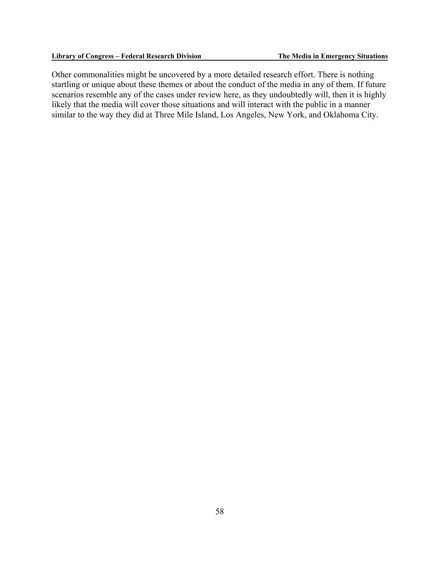Other commonalities might be uncovered by a more detailed research effort. There is nothing startling or unique about these themes or about the conduct of the media in any of them. If future scenarios resemble any of the cases under review here, as they undoubtedly will, then it is highly likely that the media will cover those situations and will interact with the public in a manner similar to the way they did at Three Mile Island, Los Angeles, New York, and Oklahoma City.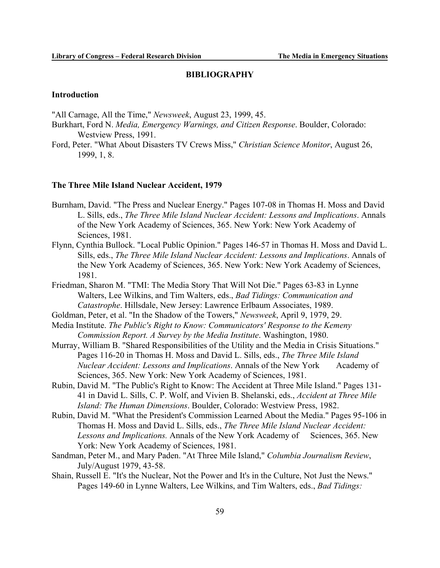#### **BIBLIOGRAPHY**

#### **Introduction**

"All Carnage, All the Time," *Newsweek*, August 23, 1999, 45.

- Burkhart, Ford N. *Media, Emergency Warnings, and Citizen Response*. Boulder, Colorado: Westview Press, 1991.
- Ford, Peter. "What About Disasters TV Crews Miss," *Christian Science Monitor*, August 26, 1999, 1, 8.

#### **The Three Mile Island Nuclear Accident, 1979**

- Burnham, David. "The Press and Nuclear Energy." Pages 107-08 in Thomas H. Moss and David L. Sills, eds., *The Three Mile Island Nuclear Accident: Lessons and Implications*. Annals of the New York Academy of Sciences, 365. New York: New York Academy of Sciences, 1981.
- Flynn, Cynthia Bullock. "Local Public Opinion." Pages 146-57 in Thomas H. Moss and David L. Sills, eds., *The Three Mile Island Nuclear Accident: Lessons and Implications*. Annals of the New York Academy of Sciences, 365. New York: New York Academy of Sciences, 1981.
- Friedman, Sharon M. "TMI: The Media Story That Will Not Die." Pages 63-83 in Lynne Walters, Lee Wilkins, and Tim Walters, eds., *Bad Tidings: Communication and Catastrophe*. Hillsdale, New Jersey: Lawrence Erlbaum Associates, 1989.
- Goldman, Peter, et al. "In the Shadow of the Towers," *Newsweek*, April 9, 1979, 29.
- Media Institute. *The Public's Right to Know: Communicators' Response to the Kemeny Commission Report. A Survey by the Media Institute*. Washington, 1980.
- Murray, William B. "Shared Responsibilities of the Utility and the Media in Crisis Situations." Pages 116-20 in Thomas H. Moss and David L. Sills, eds., *The Three Mile Island Nuclear Accident: Lessons and Implications.* Annals of the New York Academy of Sciences, 365. New York: New York Academy of Sciences, 1981.
- Rubin, David M. "The Public's Right to Know: The Accident at Three Mile Island." Pages 131- 41 in David L. Sills, C. P. Wolf, and Vivien B. Shelanski, eds., *Accident at Three Mile Island: The Human Dimensions*. Boulder, Colorado: Westview Press, 1982.
- Rubin, David M. "What the President's Commission Learned About the Media." Pages 95-106 in Thomas H. Moss and David L. Sills, eds., *The Three Mile Island Nuclear Accident:* Lessons and Implications. Annals of the New York Academy of Sciences, 365. New York: New York Academy of Sciences, 1981.
- Sandman, Peter M., and Mary Paden. "At Three Mile Island," *Columbia Journalism Review*, July/August 1979, 43-58.
- Shain, Russell E. "It's the Nuclear, Not the Power and It's in the Culture, Not Just the News." Pages 149-60 in Lynne Walters, Lee Wilkins, and Tim Walters, eds., *Bad Tidings:*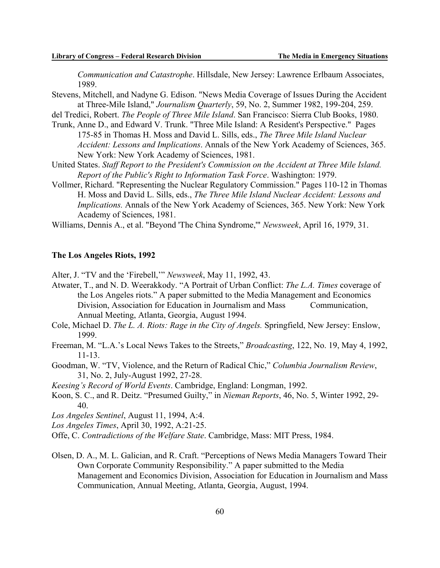*Communication and Catastrophe*. Hillsdale, New Jersey: Lawrence Erlbaum Associates, 1989.

Stevens, Mitchell, and Nadyne G. Edison. "News Media Coverage of Issues During the Accident at Three-Mile Island," *Journalism Quarterly*, 59, No. 2, Summer 1982, 199-204, 259.

del Tredici, Robert. *The People of Three Mile Island*. San Francisco: Sierra Club Books, 1980.

- Trunk, Anne D., and Edward V. Trunk. "Three Mile Island: A Resident's Perspective." Pages 175-85 in Thomas H. Moss and David L. Sills, eds., *The Three Mile Island Nuclear Accident: Lessons and Implications*. Annals of the New York Academy of Sciences, 365. New York: New York Academy of Sciences, 1981.
- United States. *Staff Report to the President's Commission on the Accident at Three Mile Island. Report of the Public's Right to Information Task Force*. Washington: 1979.
- Vollmer, Richard. "Representing the Nuclear Regulatory Commission." Pages 110-12 in Thomas H. Moss and David L. Sills, eds., *The Three Mile Island Nuclear Accident: Lessons and Implications.* Annals of the New York Academy of Sciences, 365. New York: New York Academy of Sciences, 1981.

Williams, Dennis A., et al. "Beyond 'The China Syndrome,'" *Newsweek*, April 16, 1979, 31.

### **The Los Angeles Riots, 1992**

Alter, J. "TV and the 'Firebell,'" *Newsweek*, May 11, 1992, 43.

Atwater, T., and N. D. Weerakkody. "A Portrait of Urban Conflict: *The L.A. Times* coverage of the Los Angeles riots." A paper submitted to the Media Management and Economics Division, Association for Education in Journalism and Mass Communication, Annual Meeting, Atlanta, Georgia, August 1994.

Cole, Michael D. *The L. A. Riots: Rage in the City of Angels.* Springfield, New Jersey: Enslow, 1999.

- Freeman, M. "L.A.'s Local News Takes to the Streets," *Broadcasting*, 122, No. 19, May 4, 1992, 11-13.
- Goodman, W. "TV, Violence, and the Return of Radical Chic," *Columbia Journalism Review*, 31, No. 2, July-August 1992, 27-28.

*Keesing's Record of World Events*. Cambridge, England: Longman, 1992.

Koon, S. C., and R. Deitz. "Presumed Guilty," in *Nieman Reports*, 46, No. 5, Winter 1992, 29- 40.

*Los Angeles Sentinel*, August 11, 1994, A:4.

*Los Angeles Times*, April 30, 1992, A:21-25.

Offe, C. *Contradictions of the Welfare State*. Cambridge, Mass: MIT Press, 1984.

Olsen, D. A., M. L. Galician, and R. Craft. "Perceptions of News Media Managers Toward Their Own Corporate Community Responsibility." A paper submitted to the Media Management and Economics Division, Association for Education in Journalism and Mass Communication, Annual Meeting, Atlanta, Georgia, August, 1994.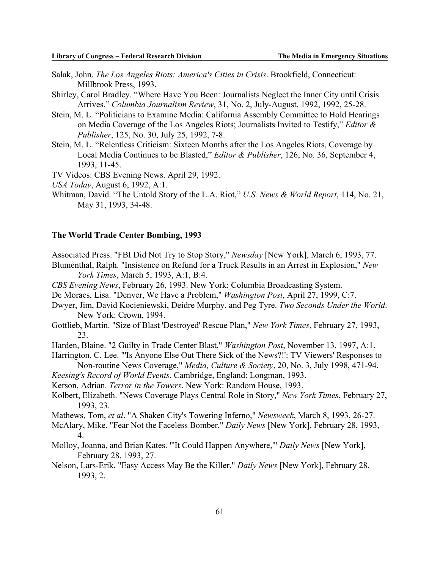- Salak, John. *The Los Angeles Riots: America's Cities in Crisis*. Brookfield, Connecticut: Millbrook Press, 1993.
- Shirley, Carol Bradley. "Where Have You Been: Journalists Neglect the Inner City until Crisis Arrives," *Columbia Journalism Review*, 31, No. 2, July-August, 1992, 1992, 25-28.
- Stein, M. L. "Politicians to Examine Media: California Assembly Committee to Hold Hearings on Media Coverage of the Los Angeles Riots; Journalists Invited to Testify," *Editor & Publisher*, 125, No. 30, July 25, 1992, 7-8.
- Stein, M. L. "Relentless Criticism: Sixteen Months after the Los Angeles Riots, Coverage by Local Media Continues to be Blasted," *Editor & Publisher*, 126, No. 36, September 4, 1993, 11-45.
- TV Videos: CBS Evening News. April 29, 1992.
- *USA Today*, August 6, 1992, A:1.
- Whitman, David. "The Untold Story of the L.A. Riot," *U.S. News & World Report*, 114, No. 21, May 31, 1993, 34-48.

#### **The World Trade Center Bombing, 1993**

- Associated Press. "FBI Did Not Try to Stop Story," *Newsday* [New York], March 6, 1993, 77.
- Blumenthal, Ralph. "Insistence on Refund for a Truck Results in an Arrest in Explosion," *New York Times*, March 5, 1993, A:1, B:4.
- *CBS Evening News*, February 26, 1993. New York: Columbia Broadcasting System.
- De Moraes, Lisa. "Denver, We Have a Problem," *Washington Post*, April 27, 1999, C:7.
- Dwyer, Jim, David Kocieniewski, Deidre Murphy, and Peg Tyre. *Two Seconds Under the World*. New York: Crown, 1994.
- Gottlieb, Martin. "Size of Blast 'Destroyed' Rescue Plan," *New York Times*, February 27, 1993, 23.
- Harden, Blaine. "2 Guilty in Trade Center Blast," *Washington Post*, November 13, 1997, A:1.
- Harrington, C. Lee. "'Is Anyone Else Out There Sick of the News?!': TV Viewers' Responses to Non-routine News Coverage," *Media, Culture & Society*, 20, No. 3, July 1998, 471-94.
- *Keesing's Record of World Events*. Cambridge, England: Longman, 1993.
- Kerson, Adrian. *Terror in the Towers*. New York: Random House, 1993.
- Kolbert, Elizabeth. "News Coverage Plays Central Role in Story," *New York Times*, February 27, 1993, 23.
- Mathews, Tom, *et al*. "A Shaken City's Towering Inferno," *Newsweek*, March 8, 1993, 26-27.
- McAlary, Mike. "Fear Not the Faceless Bomber," *Daily News* [New York], February 28, 1993, 4.
- Molloy, Joanna, and Brian Kates. "'It Could Happen Anywhere,'" *Daily News* [New York], February 28, 1993, 27.
- Nelson, Lars-Erik. "Easy Access May Be the Killer," *Daily News* [New York], February 28, 1993, 2.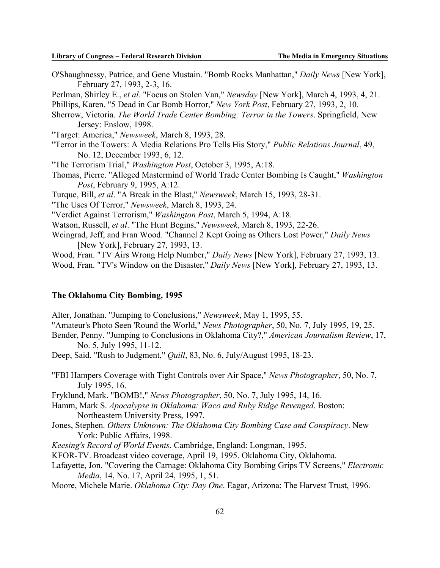- O'Shaughnessy, Patrice, and Gene Mustain. "Bomb Rocks Manhattan," *Daily News* [New York], February 27, 1993, 2-3, 16.
- Perlman, Shirley E., *et al*. "Focus on Stolen Van," *Newsday* [New York], March 4, 1993, 4, 21.
- Phillips, Karen. "5 Dead in Car Bomb Horror," *New York Post*, February 27, 1993, 2, 10.
- Sherrow, Victoria. *The World Trade Center Bombing: Terror in the Towers*. Springfield, New Jersey: Enslow, 1998.
- "Target: America," *Newsweek*, March 8, 1993, 28.
- "Terror in the Towers: A Media Relations Pro Tells His Story," *Public Relations Journal*, 49, No. 12, December 1993, 6, 12.
- "The Terrorism Trial," *Washington Post*, October 3, 1995, A:18.
- Thomas, Pierre. "Alleged Mastermind of World Trade Center Bombing Is Caught," *Washington Post*, February 9, 1995, A:12.
- Turque, Bill, *et al*. "A Break in the Blast," *Newsweek*, March 15, 1993, 28-31.
- "The Uses Of Terror," *Newsweek*, March 8, 1993, 24.

"Verdict Against Terrorism," *Washington Post*, March 5, 1994, A:18.

Watson, Russell, *et al*. "The Hunt Begins," *Newsweek*, March 8, 1993, 22-26.

Weingrad, Jeff, and Fran Wood. "Channel 2 Kept Going as Others Lost Power," *Daily News* [New York], February 27, 1993, 13.

Wood, Fran. "TV Airs Wrong Help Number," *Daily News* [New York], February 27, 1993, 13. Wood, Fran. "TV's Window on the Disaster," *Daily News* [New York], February 27, 1993, 13.

#### **The Oklahoma City Bombing, 1995**

- Alter, Jonathan. "Jumping to Conclusions," *Newsweek*, May 1, 1995, 55.
- "Amateur's Photo Seen 'Round the World," *News Photographer*, 50, No. 7, July 1995, 19, 25.
- Bender, Penny. "Jumping to Conclusions in Oklahoma City?," *American Journalism Review*, 17, No. 5, July 1995, 11-12.
- Deep, Said. "Rush to Judgment," *Quill*, 83, No. 6, July/August 1995, 18-23.
- "FBI Hampers Coverage with Tight Controls over Air Space," *News Photographer*, 50, No. 7, July 1995, 16.
- Fryklund, Mark. "BOMB!," *News Photographer*, 50, No. 7, July 1995, 14, 16.
- Hamm, Mark S. *Apocalypse in Oklahoma: Waco and Ruby Ridge Revenged*. Boston: Northeastern University Press, 1997.
- Jones, Stephen. *Others Unknown: The Oklahoma City Bombing Case and Conspiracy*. New York: Public Affairs, 1998.
- *Keesing's Record of World Events*. Cambridge, England: Longman, 1995.
- KFOR-TV. Broadcast video coverage, April 19, 1995. Oklahoma City, Oklahoma.
- Lafayette, Jon. "Covering the Carnage: Oklahoma City Bombing Grips TV Screens," *Electronic Media*, 14, No. 17, April 24, 1995, 1, 51.
- Moore, Michele Marie. *Oklahoma City: Day One*. Eagar, Arizona: The Harvest Trust, 1996.